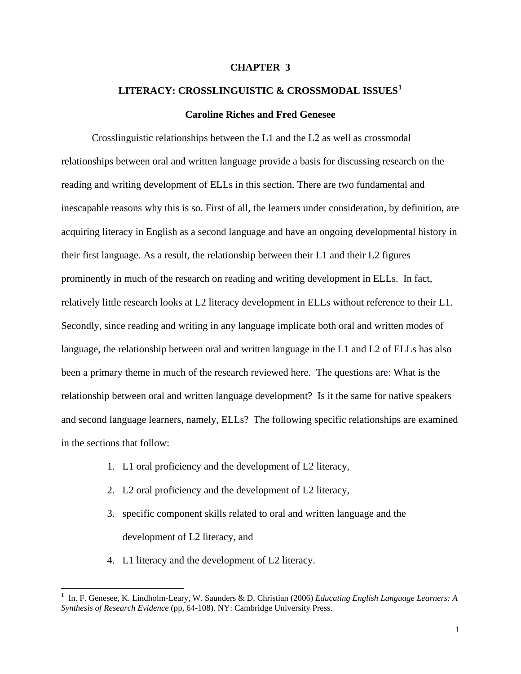## **CHAPTER 3**

# **LITERACY: CROSSLINGUISTIC & CROSSMODAL ISSUES[1](#page-0-0)**

# **Caroline Riches and Fred Genesee**

Crosslinguistic relationships between the L1 and the L2 as well as crossmodal relationships between oral and written language provide a basis for discussing research on the reading and writing development of ELLs in this section. There are two fundamental and inescapable reasons why this is so. First of all, the learners under consideration, by definition, are acquiring literacy in English as a second language and have an ongoing developmental history in their first language. As a result, the relationship between their L1 and their L2 figures prominently in much of the research on reading and writing development in ELLs. In fact, relatively little research looks at L2 literacy development in ELLs without reference to their L1. Secondly, since reading and writing in any language implicate both oral and written modes of language, the relationship between oral and written language in the L1 and L2 of ELLs has also been a primary theme in much of the research reviewed here. The questions are: What is the relationship between oral and written language development? Is it the same for native speakers and second language learners, namely, ELLs? The following specific relationships are examined in the sections that follow:

- 1. L1 oral proficiency and the development of L2 literacy,
- 2. L2 oral proficiency and the development of L2 literacy,
- 3. specific component skills related to oral and written language and the development of L2 literacy, and
- 4. L1 literacy and the development of L2 literacy.

 $\overline{a}$ 

<span id="page-0-0"></span><sup>1</sup> In. F. Genesee, K. Lindholm-Leary, W. Saunders & D. Christian (2006) *Educating English Language Learners: A Synthesis of Research Evidence* (pp, 64-108). NY: Cambridge University Press.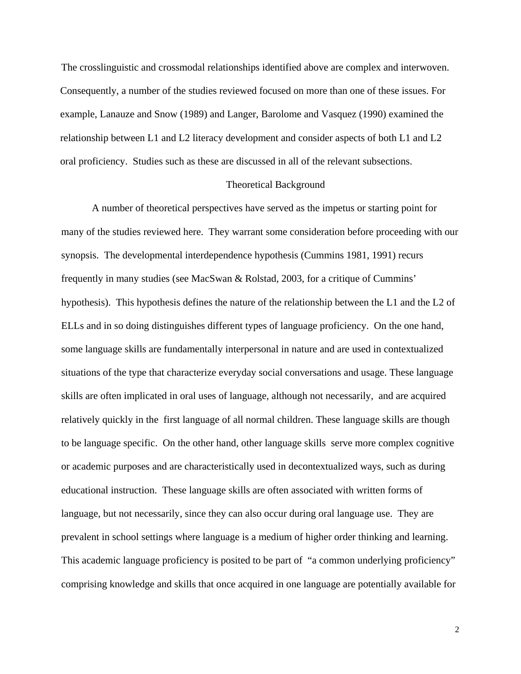The crosslinguistic and crossmodal relationships identified above are complex and interwoven. Consequently, a number of the studies reviewed focused on more than one of these issues. For example, Lanauze and Snow (1989) and Langer, Barolome and Vasquez (1990) examined the relationship between L1 and L2 literacy development and consider aspects of both L1 and L2 oral proficiency. Studies such as these are discussed in all of the relevant subsections.

# Theoretical Background

A number of theoretical perspectives have served as the impetus or starting point for many of the studies reviewed here. They warrant some consideration before proceeding with our synopsis. The developmental interdependence hypothesis (Cummins 1981, 1991) recurs frequently in many studies (see MacSwan & Rolstad, 2003, for a critique of Cummins' hypothesis). This hypothesis defines the nature of the relationship between the L1 and the L2 of ELLs and in so doing distinguishes different types of language proficiency. On the one hand, some language skills are fundamentally interpersonal in nature and are used in contextualized situations of the type that characterize everyday social conversations and usage. These language skills are often implicated in oral uses of language, although not necessarily, and are acquired relatively quickly in the first language of all normal children. These language skills are though to be language specific. On the other hand, other language skills serve more complex cognitive or academic purposes and are characteristically used in decontextualized ways, such as during educational instruction. These language skills are often associated with written forms of language, but not necessarily, since they can also occur during oral language use. They are prevalent in school settings where language is a medium of higher order thinking and learning. This academic language proficiency is posited to be part of "a common underlying proficiency" comprising knowledge and skills that once acquired in one language are potentially available for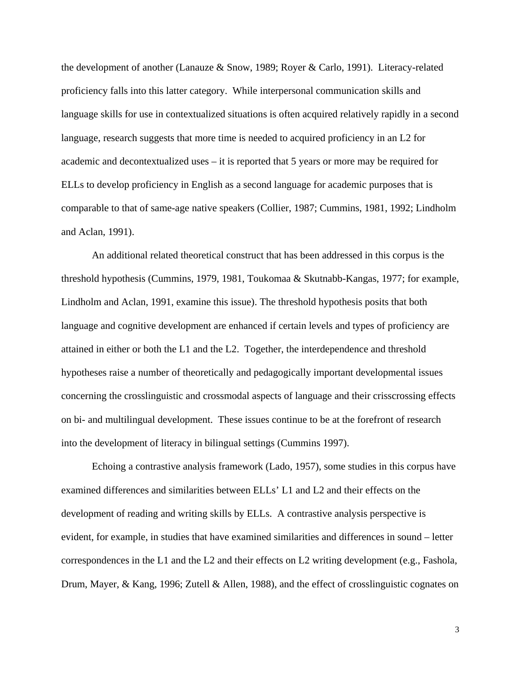the development of another (Lanauze & Snow, 1989; Royer & Carlo, 1991). Literacy-related proficiency falls into this latter category. While interpersonal communication skills and language skills for use in contextualized situations is often acquired relatively rapidly in a second language, research suggests that more time is needed to acquired proficiency in an L2 for academic and decontextualized uses – it is reported that 5 years or more may be required for ELLs to develop proficiency in English as a second language for academic purposes that is comparable to that of same-age native speakers (Collier, 1987; Cummins, 1981, 1992; Lindholm and Aclan, 1991).

An additional related theoretical construct that has been addressed in this corpus is the threshold hypothesis (Cummins, 1979, 1981, Toukomaa & Skutnabb-Kangas, 1977; for example, Lindholm and Aclan, 1991, examine this issue). The threshold hypothesis posits that both language and cognitive development are enhanced if certain levels and types of proficiency are attained in either or both the L1 and the L2. Together, the interdependence and threshold hypotheses raise a number of theoretically and pedagogically important developmental issues concerning the crosslinguistic and crossmodal aspects of language and their crisscrossing effects on bi- and multilingual development. These issues continue to be at the forefront of research into the development of literacy in bilingual settings (Cummins 1997).

Echoing a contrastive analysis framework (Lado, 1957), some studies in this corpus have examined differences and similarities between ELLs' L1 and L2 and their effects on the development of reading and writing skills by ELLs. A contrastive analysis perspective is evident, for example, in studies that have examined similarities and differences in sound – letter correspondences in the L1 and the L2 and their effects on L2 writing development (e.g., Fashola, Drum, Mayer, & Kang, 1996; Zutell & Allen, 1988), and the effect of crosslinguistic cognates on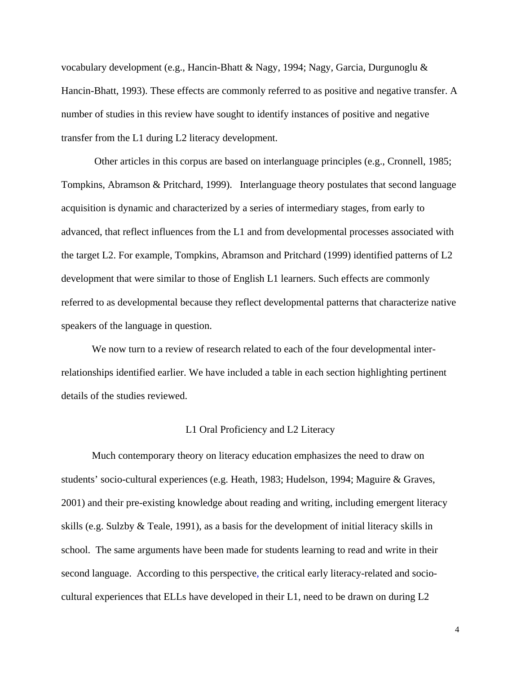vocabulary development (e.g., Hancin-Bhatt & Nagy, 1994; Nagy, Garcia, Durgunoglu & Hancin-Bhatt, 1993). These effects are commonly referred to as positive and negative transfer. A number of studies in this review have sought to identify instances of positive and negative transfer from the L1 during L2 literacy development.

 Other articles in this corpus are based on interlanguage principles (e.g., Cronnell, 1985; Tompkins, Abramson & Pritchard, 1999). Interlanguage theory postulates that second language acquisition is dynamic and characterized by a series of intermediary stages, from early to advanced, that reflect influences from the L1 and from developmental processes associated with the target L2. For example, Tompkins, Abramson and Pritchard (1999) identified patterns of L2 development that were similar to those of English L1 learners. Such effects are commonly referred to as developmental because they reflect developmental patterns that characterize native speakers of the language in question.

We now turn to a review of research related to each of the four developmental interrelationships identified earlier. We have included a table in each section highlighting pertinent details of the studies reviewed.

## L1 Oral Proficiency and L2 Literacy

Much contemporary theory on literacy education emphasizes the need to draw on students' socio-cultural experiences (e.g. Heath, 1983; Hudelson, 1994; Maguire & Graves, 2001) and their pre-existing knowledge about reading and writing, including emergent literacy skills (e.g. Sulzby & Teale, 1991), as a basis for the development of initial literacy skills in school. The same arguments have been made for students learning to read and write in their second language. According to this perspective, the critical early literacy-related and sociocultural experiences that ELLs have developed in their L1, need to be drawn on during L2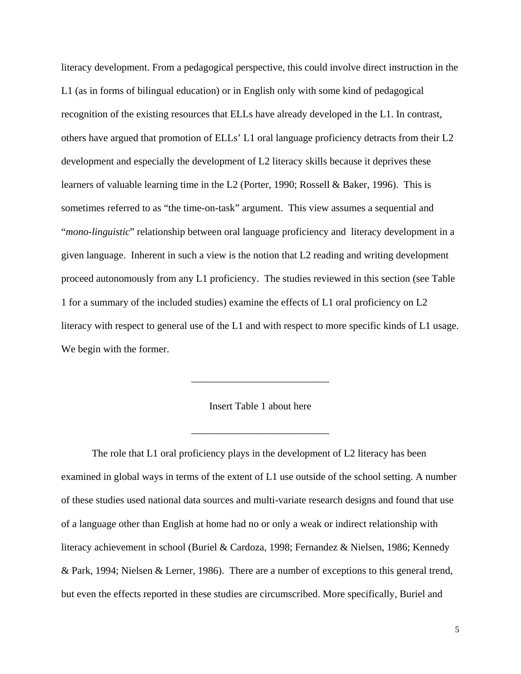literacy development. From a pedagogical perspective, this could involve direct instruction in the L1 (as in forms of bilingual education) or in English only with some kind of pedagogical recognition of the existing resources that ELLs have already developed in the L1. In contrast, others have argued that promotion of ELLs' L1 oral language proficiency detracts from their L2 development and especially the development of L2 literacy skills because it deprives these learners of valuable learning time in the L2 (Porter, 1990; Rossell & Baker, 1996). This is sometimes referred to as "the time-on-task" argument. This view assumes a sequential and "*mono-linguistic*" relationship between oral language proficiency and literacy development in a given language. Inherent in such a view is the notion that L2 reading and writing development proceed autonomously from any L1 proficiency. The studies reviewed in this section (see Table 1 for a summary of the included studies) examine the effects of L1 oral proficiency on L2 literacy with respect to general use of the L1 and with respect to more specific kinds of L1 usage. We begin with the former.

Insert Table 1 about here

\_\_\_\_\_\_\_\_\_\_\_\_\_\_\_\_\_\_\_\_\_\_\_\_\_\_\_

 $\frac{1}{\sqrt{2}}$  ,  $\frac{1}{\sqrt{2}}$  ,  $\frac{1}{\sqrt{2}}$  ,  $\frac{1}{\sqrt{2}}$  ,  $\frac{1}{\sqrt{2}}$  ,  $\frac{1}{\sqrt{2}}$  ,  $\frac{1}{\sqrt{2}}$  ,  $\frac{1}{\sqrt{2}}$  ,  $\frac{1}{\sqrt{2}}$  ,  $\frac{1}{\sqrt{2}}$  ,  $\frac{1}{\sqrt{2}}$  ,  $\frac{1}{\sqrt{2}}$  ,  $\frac{1}{\sqrt{2}}$  ,  $\frac{1}{\sqrt{2}}$  ,  $\frac{1}{\sqrt{2}}$ 

The role that L1 oral proficiency plays in the development of L2 literacy has been examined in global ways in terms of the extent of L1 use outside of the school setting. A number of these studies used national data sources and multi-variate research designs and found that use of a language other than English at home had no or only a weak or indirect relationship with literacy achievement in school (Buriel & Cardoza, 1998; Fernandez & Nielsen, 1986; Kennedy & Park, 1994; Nielsen & Lerner, 1986). There are a number of exceptions to this general trend, but even the effects reported in these studies are circumscribed. More specifically, Buriel and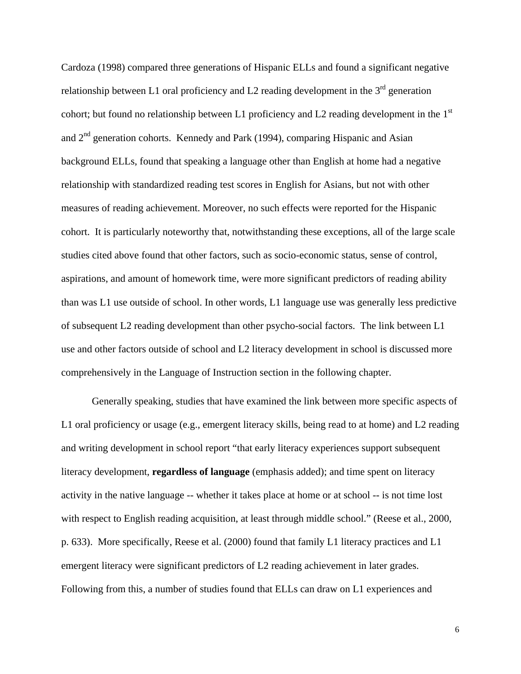Cardoza (1998) compared three generations of Hispanic ELLs and found a significant negative relationship between L1 oral proficiency and L2 reading development in the  $3<sup>rd</sup>$  generation cohort; but found no relationship between L1 proficiency and L2 reading development in the  $1<sup>st</sup>$ and  $2<sup>nd</sup>$  generation cohorts. Kennedy and Park (1994), comparing Hispanic and Asian background ELLs, found that speaking a language other than English at home had a negative relationship with standardized reading test scores in English for Asians, but not with other measures of reading achievement. Moreover, no such effects were reported for the Hispanic cohort. It is particularly noteworthy that, notwithstanding these exceptions, all of the large scale studies cited above found that other factors, such as socio-economic status, sense of control, aspirations, and amount of homework time, were more significant predictors of reading ability than was L1 use outside of school. In other words, L1 language use was generally less predictive of subsequent L2 reading development than other psycho-social factors. The link between L1 use and other factors outside of school and L2 literacy development in school is discussed more comprehensively in the Language of Instruction section in the following chapter.

Generally speaking, studies that have examined the link between more specific aspects of L1 oral proficiency or usage (e.g., emergent literacy skills, being read to at home) and L2 reading and writing development in school report "that early literacy experiences support subsequent literacy development, **regardless of language** (emphasis added); and time spent on literacy activity in the native language -- whether it takes place at home or at school -- is not time lost with respect to English reading acquisition, at least through middle school." (Reese et al., 2000, p. 633). More specifically, Reese et al. (2000) found that family L1 literacy practices and L1 emergent literacy were significant predictors of L2 reading achievement in later grades. Following from this, a number of studies found that ELLs can draw on L1 experiences and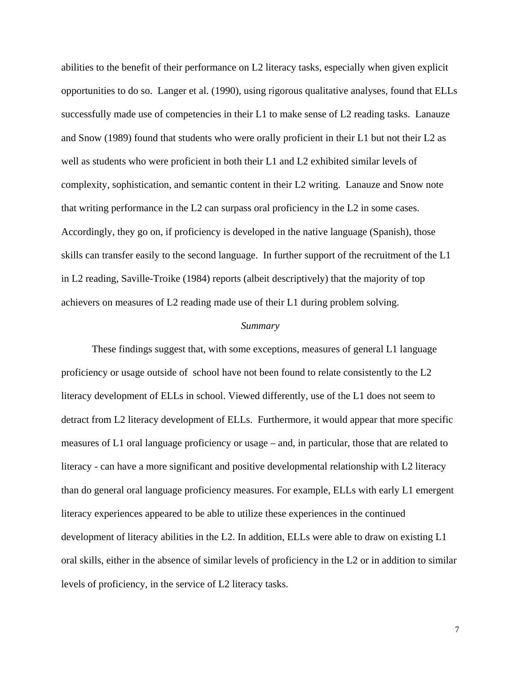abilities to the benefit of their performance on L2 literacy tasks, especially when given explicit opportunities to do so. Langer et al. (1990), using rigorous qualitative analyses, found that ELLs successfully made use of competencies in their L1 to make sense of L2 reading tasks. Lanauze and Snow (1989) found that students who were orally proficient in their L1 but not their L2 as well as students who were proficient in both their L1 and L2 exhibited similar levels of complexity, sophistication, and semantic content in their L2 writing. Lanauze and Snow note that writing performance in the L2 can surpass oral proficiency in the L2 in some cases. Accordingly, they go on, if proficiency is developed in the native language (Spanish), those skills can transfer easily to the second language. In further support of the recruitment of the L1 in L2 reading, Saville-Troike (1984) reports (albeit descriptively) that the majority of top achievers on measures of L2 reading made use of their L1 during problem solving.

#### *Summary*

These findings suggest that, with some exceptions, measures of general L1 language proficiency or usage outside of school have not been found to relate consistently to the L2 literacy development of ELLs in school. Viewed differently, use of the L1 does not seem to detract from L2 literacy development of ELLs. Furthermore, it would appear that more specific measures of L1 oral language proficiency or usage – and, in particular, those that are related to literacy - can have a more significant and positive developmental relationship with L2 literacy than do general oral language proficiency measures. For example, ELLs with early L1 emergent literacy experiences appeared to be able to utilize these experiences in the continued development of literacy abilities in the L2. In addition, ELLs were able to draw on existing L1 oral skills, either in the absence of similar levels of proficiency in the L2 or in addition to similar levels of proficiency, in the service of L2 literacy tasks.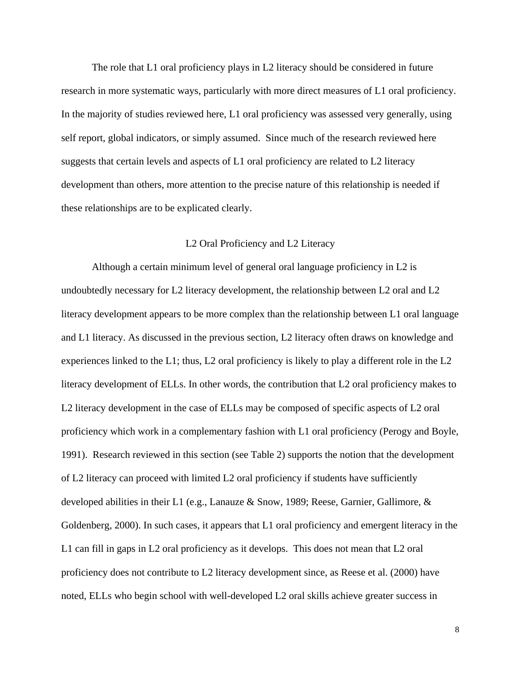The role that L1 oral proficiency plays in L2 literacy should be considered in future research in more systematic ways, particularly with more direct measures of L1 oral proficiency. In the majority of studies reviewed here, L1 oral proficiency was assessed very generally, using self report, global indicators, or simply assumed. Since much of the research reviewed here suggests that certain levels and aspects of L1 oral proficiency are related to L2 literacy development than others, more attention to the precise nature of this relationship is needed if these relationships are to be explicated clearly.

## L2 Oral Proficiency and L2 Literacy

Although a certain minimum level of general oral language proficiency in L2 is undoubtedly necessary for L2 literacy development, the relationship between L2 oral and L2 literacy development appears to be more complex than the relationship between L1 oral language and L1 literacy. As discussed in the previous section, L2 literacy often draws on knowledge and experiences linked to the L1; thus, L2 oral proficiency is likely to play a different role in the L2 literacy development of ELLs. In other words, the contribution that L2 oral proficiency makes to L2 literacy development in the case of ELLs may be composed of specific aspects of L2 oral proficiency which work in a complementary fashion with L1 oral proficiency (Perogy and Boyle, 1991). Research reviewed in this section (see Table 2) supports the notion that the development of L2 literacy can proceed with limited L2 oral proficiency if students have sufficiently developed abilities in their L1 (e.g., Lanauze & Snow, 1989; Reese, Garnier, Gallimore, & Goldenberg, 2000). In such cases, it appears that L1 oral proficiency and emergent literacy in the L1 can fill in gaps in L2 oral proficiency as it develops. This does not mean that L2 oral proficiency does not contribute to L2 literacy development since, as Reese et al. (2000) have noted, ELLs who begin school with well-developed L2 oral skills achieve greater success in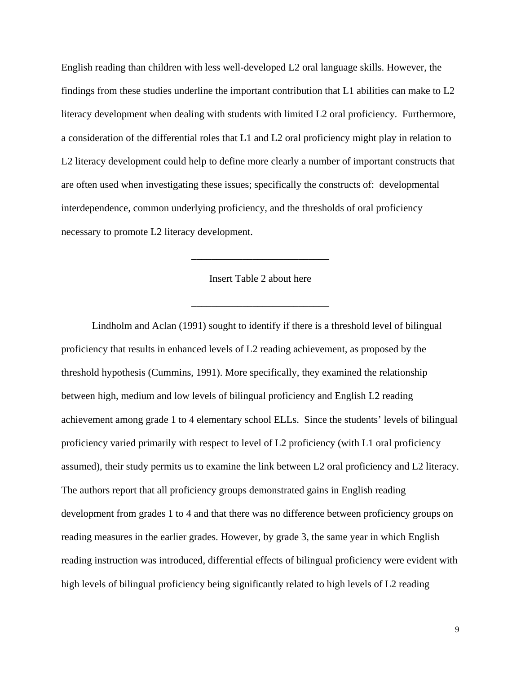English reading than children with less well-developed L2 oral language skills. However, the findings from these studies underline the important contribution that L1 abilities can make to L2 literacy development when dealing with students with limited L2 oral proficiency. Furthermore, a consideration of the differential roles that L1 and L2 oral proficiency might play in relation to L2 literacy development could help to define more clearly a number of important constructs that are often used when investigating these issues; specifically the constructs of: developmental interdependence, common underlying proficiency, and the thresholds of oral proficiency necessary to promote L2 literacy development.

Insert Table 2 about here

\_\_\_\_\_\_\_\_\_\_\_\_\_\_\_\_\_\_\_\_\_\_\_\_\_\_\_

\_\_\_\_\_\_\_\_\_\_\_\_\_\_\_\_\_\_\_\_\_\_\_\_\_\_\_

Lindholm and Aclan (1991) sought to identify if there is a threshold level of bilingual proficiency that results in enhanced levels of L2 reading achievement, as proposed by the threshold hypothesis (Cummins, 1991). More specifically, they examined the relationship between high, medium and low levels of bilingual proficiency and English L2 reading achievement among grade 1 to 4 elementary school ELLs. Since the students' levels of bilingual proficiency varied primarily with respect to level of L2 proficiency (with L1 oral proficiency assumed), their study permits us to examine the link between L2 oral proficiency and L2 literacy. The authors report that all proficiency groups demonstrated gains in English reading development from grades 1 to 4 and that there was no difference between proficiency groups on reading measures in the earlier grades. However, by grade 3, the same year in which English reading instruction was introduced, differential effects of bilingual proficiency were evident with high levels of bilingual proficiency being significantly related to high levels of L2 reading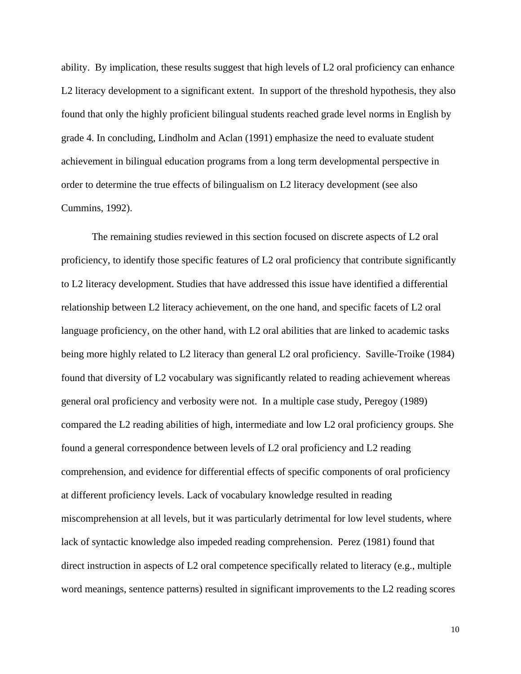ability. By implication, these results suggest that high levels of L2 oral proficiency can enhance L2 literacy development to a significant extent. In support of the threshold hypothesis, they also found that only the highly proficient bilingual students reached grade level norms in English by grade 4. In concluding, Lindholm and Aclan (1991) emphasize the need to evaluate student achievement in bilingual education programs from a long term developmental perspective in order to determine the true effects of bilingualism on L2 literacy development (see also Cummins, 1992).

The remaining studies reviewed in this section focused on discrete aspects of L2 oral proficiency, to identify those specific features of L2 oral proficiency that contribute significantly to L2 literacy development. Studies that have addressed this issue have identified a differential relationship between L2 literacy achievement, on the one hand, and specific facets of L2 oral language proficiency, on the other hand, with L2 oral abilities that are linked to academic tasks being more highly related to L2 literacy than general L2 oral proficiency. Saville-Troike (1984) found that diversity of L2 vocabulary was significantly related to reading achievement whereas general oral proficiency and verbosity were not. In a multiple case study, Peregoy (1989) compared the L2 reading abilities of high, intermediate and low L2 oral proficiency groups. She found a general correspondence between levels of L2 oral proficiency and L2 reading comprehension, and evidence for differential effects of specific components of oral proficiency at different proficiency levels. Lack of vocabulary knowledge resulted in reading miscomprehension at all levels, but it was particularly detrimental for low level students, where lack of syntactic knowledge also impeded reading comprehension. Perez (1981) found that direct instruction in aspects of L2 oral competence specifically related to literacy (e.g., multiple word meanings, sentence patterns) resulted in significant improvements to the L2 reading scores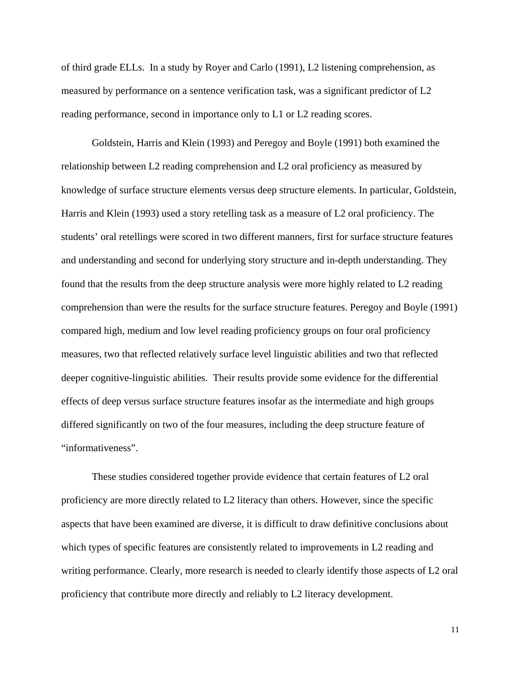of third grade ELLs. In a study by Royer and Carlo (1991), L2 listening comprehension, as measured by performance on a sentence verification task, was a significant predictor of L2 reading performance, second in importance only to L1 or L2 reading scores.

Goldstein, Harris and Klein (1993) and Peregoy and Boyle (1991) both examined the relationship between L2 reading comprehension and L2 oral proficiency as measured by knowledge of surface structure elements versus deep structure elements. In particular, Goldstein, Harris and Klein (1993) used a story retelling task as a measure of L2 oral proficiency. The students' oral retellings were scored in two different manners, first for surface structure features and understanding and second for underlying story structure and in-depth understanding. They found that the results from the deep structure analysis were more highly related to L2 reading comprehension than were the results for the surface structure features. Peregoy and Boyle (1991) compared high, medium and low level reading proficiency groups on four oral proficiency measures, two that reflected relatively surface level linguistic abilities and two that reflected deeper cognitive-linguistic abilities. Their results provide some evidence for the differential effects of deep versus surface structure features insofar as the intermediate and high groups differed significantly on two of the four measures, including the deep structure feature of "informativeness".

These studies considered together provide evidence that certain features of L2 oral proficiency are more directly related to L2 literacy than others. However, since the specific aspects that have been examined are diverse, it is difficult to draw definitive conclusions about which types of specific features are consistently related to improvements in L2 reading and writing performance. Clearly, more research is needed to clearly identify those aspects of L2 oral proficiency that contribute more directly and reliably to L2 literacy development.

11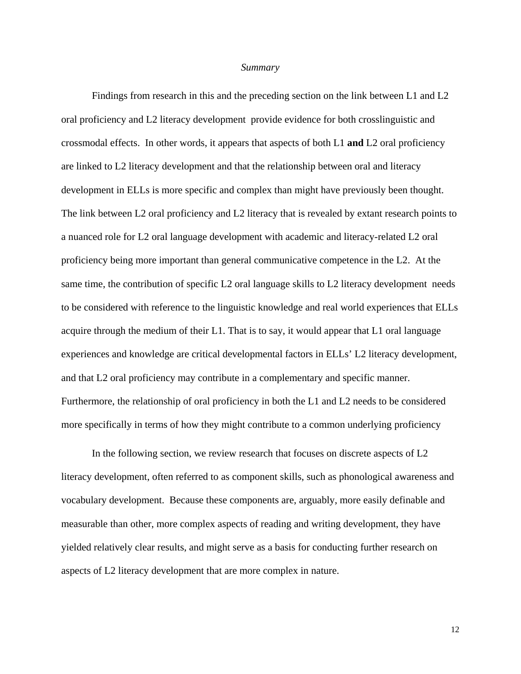#### *Summary*

Findings from research in this and the preceding section on the link between L1 and L2 oral proficiency and L2 literacy development provide evidence for both crosslinguistic and crossmodal effects. In other words, it appears that aspects of both L1 **and** L2 oral proficiency are linked to L2 literacy development and that the relationship between oral and literacy development in ELLs is more specific and complex than might have previously been thought. The link between L2 oral proficiency and L2 literacy that is revealed by extant research points to a nuanced role for L2 oral language development with academic and literacy-related L2 oral proficiency being more important than general communicative competence in the L2. At the same time, the contribution of specific L2 oral language skills to L2 literacy development needs to be considered with reference to the linguistic knowledge and real world experiences that ELLs acquire through the medium of their L1. That is to say, it would appear that L1 oral language experiences and knowledge are critical developmental factors in ELLs' L2 literacy development, and that L2 oral proficiency may contribute in a complementary and specific manner. Furthermore, the relationship of oral proficiency in both the L1 and L2 needs to be considered more specifically in terms of how they might contribute to a common underlying proficiency

In the following section, we review research that focuses on discrete aspects of L2 literacy development, often referred to as component skills, such as phonological awareness and vocabulary development. Because these components are, arguably, more easily definable and measurable than other, more complex aspects of reading and writing development, they have yielded relatively clear results, and might serve as a basis for conducting further research on aspects of L2 literacy development that are more complex in nature.

12<br>12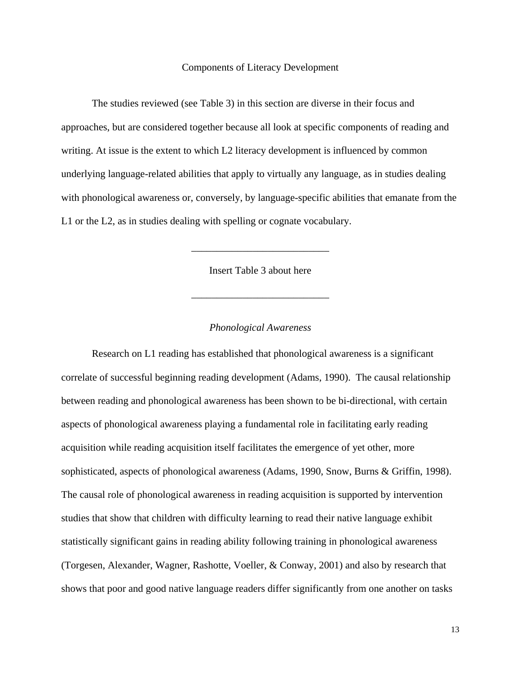## Components of Literacy Development

The studies reviewed (see Table 3) in this section are diverse in their focus and approaches, but are considered together because all look at specific components of reading and writing. At issue is the extent to which L2 literacy development is influenced by common underlying language-related abilities that apply to virtually any language, as in studies dealing with phonological awareness or, conversely, by language-specific abilities that emanate from the L1 or the L2, as in studies dealing with spelling or cognate vocabulary.

Insert Table 3 about here

\_\_\_\_\_\_\_\_\_\_\_\_\_\_\_\_\_\_\_\_\_\_\_\_\_\_\_

\_\_\_\_\_\_\_\_\_\_\_\_\_\_\_\_\_\_\_\_\_\_\_\_\_\_\_

## *Phonological Awareness*

 Research on L1 reading has established that phonological awareness is a significant correlate of successful beginning reading development (Adams, 1990). The causal relationship between reading and phonological awareness has been shown to be bi-directional, with certain aspects of phonological awareness playing a fundamental role in facilitating early reading acquisition while reading acquisition itself facilitates the emergence of yet other, more sophisticated, aspects of phonological awareness (Adams, 1990, Snow, Burns & Griffin, 1998). The causal role of phonological awareness in reading acquisition is supported by intervention studies that show that children with difficulty learning to read their native language exhibit statistically significant gains in reading ability following training in phonological awareness (Torgesen, Alexander, Wagner, Rashotte, Voeller, & Conway, 2001) and also by research that shows that poor and good native language readers differ significantly from one another on tasks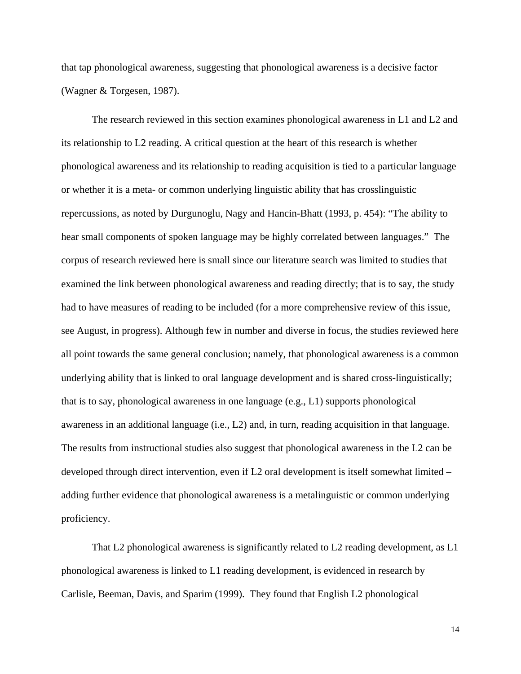that tap phonological awareness, suggesting that phonological awareness is a decisive factor (Wagner & Torgesen, 1987).

The research reviewed in this section examines phonological awareness in L1 and L2 and its relationship to L2 reading. A critical question at the heart of this research is whether phonological awareness and its relationship to reading acquisition is tied to a particular language or whether it is a meta- or common underlying linguistic ability that has crosslinguistic repercussions, as noted by Durgunoglu, Nagy and Hancin-Bhatt (1993, p. 454): "The ability to hear small components of spoken language may be highly correlated between languages." The corpus of research reviewed here is small since our literature search was limited to studies that examined the link between phonological awareness and reading directly; that is to say, the study had to have measures of reading to be included (for a more comprehensive review of this issue, see August, in progress). Although few in number and diverse in focus, the studies reviewed here all point towards the same general conclusion; namely, that phonological awareness is a common underlying ability that is linked to oral language development and is shared cross-linguistically; that is to say, phonological awareness in one language (e.g., L1) supports phonological awareness in an additional language (i.e., L2) and, in turn, reading acquisition in that language. The results from instructional studies also suggest that phonological awareness in the L2 can be developed through direct intervention, even if L2 oral development is itself somewhat limited – adding further evidence that phonological awareness is a metalinguistic or common underlying proficiency.

 That L2 phonological awareness is significantly related to L2 reading development, as L1 phonological awareness is linked to L1 reading development, is evidenced in research by Carlisle, Beeman, Davis, and Sparim (1999). They found that English L2 phonological

14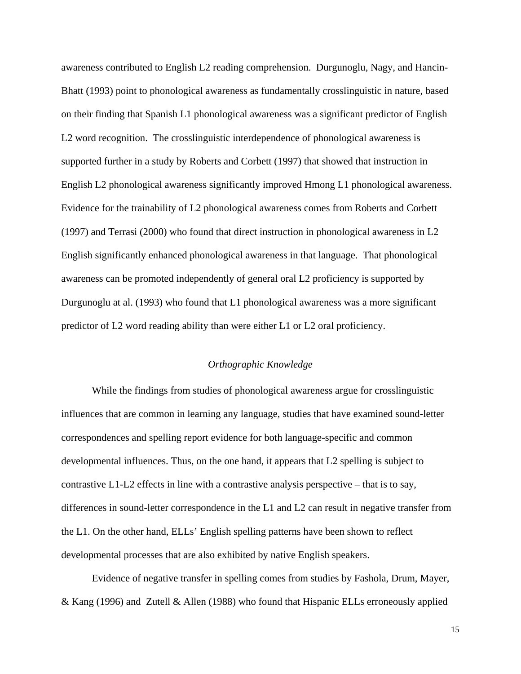awareness contributed to English L2 reading comprehension. Durgunoglu, Nagy, and Hancin-Bhatt (1993) point to phonological awareness as fundamentally crosslinguistic in nature, based on their finding that Spanish L1 phonological awareness was a significant predictor of English L2 word recognition. The crosslinguistic interdependence of phonological awareness is supported further in a study by Roberts and Corbett (1997) that showed that instruction in English L2 phonological awareness significantly improved Hmong L1 phonological awareness. Evidence for the trainability of L2 phonological awareness comes from Roberts and Corbett (1997) and Terrasi (2000) who found that direct instruction in phonological awareness in L2 English significantly enhanced phonological awareness in that language. That phonological awareness can be promoted independently of general oral L2 proficiency is supported by Durgunoglu at al. (1993) who found that L1 phonological awareness was a more significant predictor of L2 word reading ability than were either L1 or L2 oral proficiency.

## *Orthographic Knowledge*

 While the findings from studies of phonological awareness argue for crosslinguistic influences that are common in learning any language, studies that have examined sound-letter correspondences and spelling report evidence for both language-specific and common developmental influences. Thus, on the one hand, it appears that L2 spelling is subject to contrastive L1-L2 effects in line with a contrastive analysis perspective – that is to say, differences in sound-letter correspondence in the L1 and L2 can result in negative transfer from the L1. On the other hand, ELLs' English spelling patterns have been shown to reflect developmental processes that are also exhibited by native English speakers.

Evidence of negative transfer in spelling comes from studies by Fashola, Drum, Mayer, & Kang (1996) and Zutell & Allen (1988) who found that Hispanic ELLs erroneously applied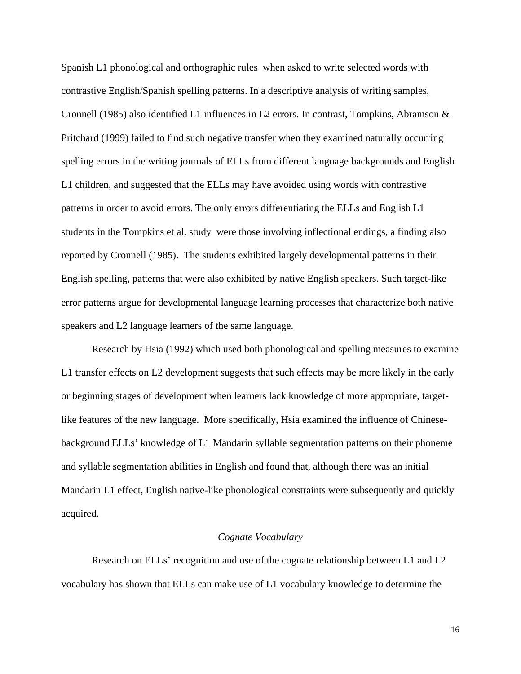Spanish L1 phonological and orthographic rules when asked to write selected words with contrastive English/Spanish spelling patterns. In a descriptive analysis of writing samples, Cronnell (1985) also identified L1 influences in L2 errors. In contrast, Tompkins, Abramson & Pritchard (1999) failed to find such negative transfer when they examined naturally occurring spelling errors in the writing journals of ELLs from different language backgrounds and English L1 children, and suggested that the ELLs may have avoided using words with contrastive patterns in order to avoid errors. The only errors differentiating the ELLs and English L1 students in the Tompkins et al. study were those involving inflectional endings, a finding also reported by Cronnell (1985). The students exhibited largely developmental patterns in their English spelling, patterns that were also exhibited by native English speakers. Such target-like error patterns argue for developmental language learning processes that characterize both native speakers and L2 language learners of the same language.

Research by Hsia (1992) which used both phonological and spelling measures to examine L1 transfer effects on L2 development suggests that such effects may be more likely in the early or beginning stages of development when learners lack knowledge of more appropriate, targetlike features of the new language. More specifically, Hsia examined the influence of Chinesebackground ELLs' knowledge of L1 Mandarin syllable segmentation patterns on their phoneme and syllable segmentation abilities in English and found that, although there was an initial Mandarin L1 effect, English native-like phonological constraints were subsequently and quickly acquired.

#### *Cognate Vocabulary*

Research on ELLs' recognition and use of the cognate relationship between L1 and L2 vocabulary has shown that ELLs can make use of L1 vocabulary knowledge to determine the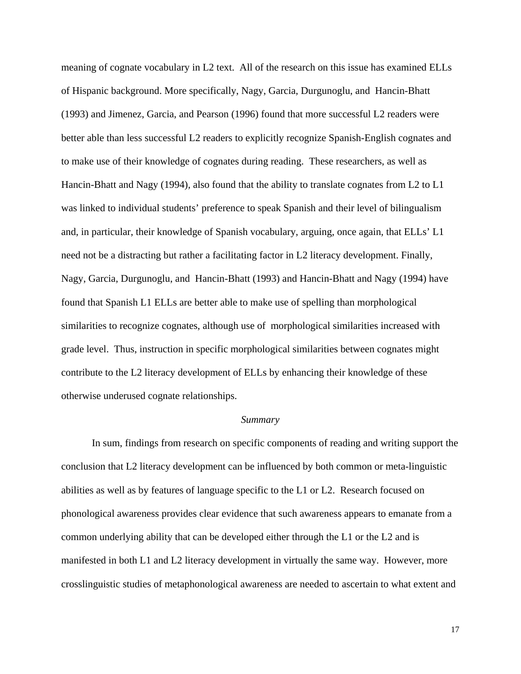meaning of cognate vocabulary in L2 text. All of the research on this issue has examined ELLs of Hispanic background. More specifically, Nagy, Garcia, Durgunoglu, and Hancin-Bhatt (1993) and Jimenez, Garcia, and Pearson (1996) found that more successful L2 readers were better able than less successful L2 readers to explicitly recognize Spanish-English cognates and to make use of their knowledge of cognates during reading. These researchers, as well as Hancin-Bhatt and Nagy (1994), also found that the ability to translate cognates from L2 to L1 was linked to individual students' preference to speak Spanish and their level of bilingualism and, in particular, their knowledge of Spanish vocabulary, arguing, once again, that ELLs' L1 need not be a distracting but rather a facilitating factor in L2 literacy development. Finally, Nagy, Garcia, Durgunoglu, and Hancin-Bhatt (1993) and Hancin-Bhatt and Nagy (1994) have found that Spanish L1 ELLs are better able to make use of spelling than morphological similarities to recognize cognates, although use of morphological similarities increased with grade level. Thus, instruction in specific morphological similarities between cognates might contribute to the L2 literacy development of ELLs by enhancing their knowledge of these otherwise underused cognate relationships.

#### *Summary*

 In sum, findings from research on specific components of reading and writing support the conclusion that L2 literacy development can be influenced by both common or meta-linguistic abilities as well as by features of language specific to the L1 or L2. Research focused on phonological awareness provides clear evidence that such awareness appears to emanate from a common underlying ability that can be developed either through the L1 or the L2 and is manifested in both L1 and L2 literacy development in virtually the same way. However, more crosslinguistic studies of metaphonological awareness are needed to ascertain to what extent and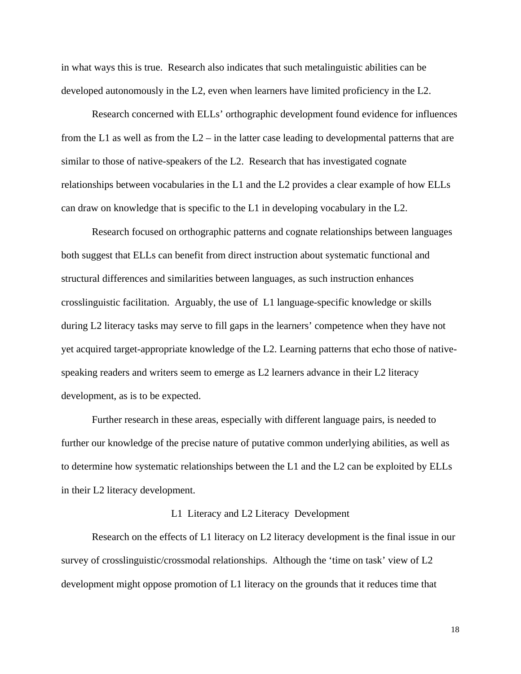in what ways this is true. Research also indicates that such metalinguistic abilities can be developed autonomously in the L2, even when learners have limited proficiency in the L2.

 Research concerned with ELLs' orthographic development found evidence for influences from the L1 as well as from the  $L2$  – in the latter case leading to developmental patterns that are similar to those of native-speakers of the L2. Research that has investigated cognate relationships between vocabularies in the L1 and the L2 provides a clear example of how ELLs can draw on knowledge that is specific to the L1 in developing vocabulary in the L2.

Research focused on orthographic patterns and cognate relationships between languages both suggest that ELLs can benefit from direct instruction about systematic functional and structural differences and similarities between languages, as such instruction enhances crosslinguistic facilitation. Arguably, the use of L1 language-specific knowledge or skills during L2 literacy tasks may serve to fill gaps in the learners' competence when they have not yet acquired target-appropriate knowledge of the L2. Learning patterns that echo those of nativespeaking readers and writers seem to emerge as L2 learners advance in their L2 literacy development, as is to be expected.

 Further research in these areas, especially with different language pairs, is needed to further our knowledge of the precise nature of putative common underlying abilities, as well as to determine how systematic relationships between the L1 and the L2 can be exploited by ELLs in their L2 literacy development.

#### L1 Literacy and L2 Literacy Development

Research on the effects of L1 literacy on L2 literacy development is the final issue in our survey of crosslinguistic/crossmodal relationships. Although the 'time on task' view of L2 development might oppose promotion of L1 literacy on the grounds that it reduces time that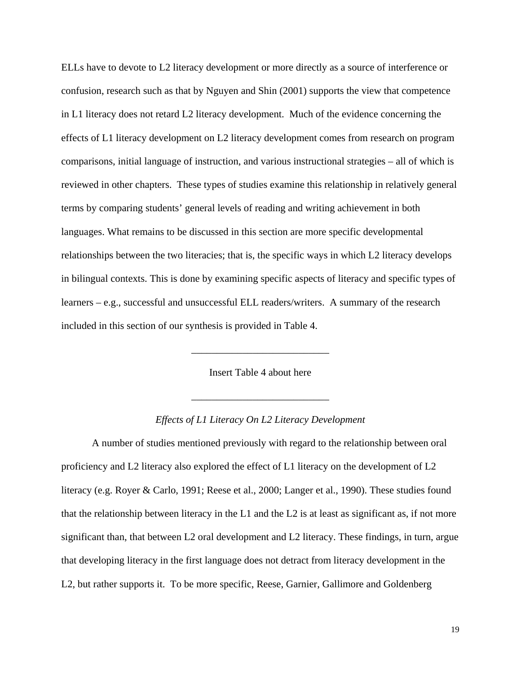ELLs have to devote to L2 literacy development or more directly as a source of interference or confusion, research such as that by Nguyen and Shin (2001) supports the view that competence in L1 literacy does not retard L2 literacy development. Much of the evidence concerning the effects of L1 literacy development on L2 literacy development comes from research on program comparisons, initial language of instruction, and various instructional strategies – all of which is reviewed in other chapters. These types of studies examine this relationship in relatively general terms by comparing students' general levels of reading and writing achievement in both languages. What remains to be discussed in this section are more specific developmental relationships between the two literacies; that is, the specific ways in which L2 literacy develops in bilingual contexts. This is done by examining specific aspects of literacy and specific types of learners – e.g., successful and unsuccessful ELL readers/writers. A summary of the research included in this section of our synthesis is provided in Table 4.

Insert Table 4 about here

\_\_\_\_\_\_\_\_\_\_\_\_\_\_\_\_\_\_\_\_\_\_\_\_\_\_\_

\_\_\_\_\_\_\_\_\_\_\_\_\_\_\_\_\_\_\_\_\_\_\_\_\_\_\_

## *Effects of L1 Literacy On L2 Literacy Development*

A number of studies mentioned previously with regard to the relationship between oral proficiency and L2 literacy also explored the effect of L1 literacy on the development of L2 literacy (e.g. Royer & Carlo, 1991; Reese et al., 2000; Langer et al., 1990). These studies found that the relationship between literacy in the L1 and the L2 is at least as significant as, if not more significant than, that between L2 oral development and L2 literacy. These findings, in turn, argue that developing literacy in the first language does not detract from literacy development in the L2, but rather supports it. To be more specific, Reese, Garnier, Gallimore and Goldenberg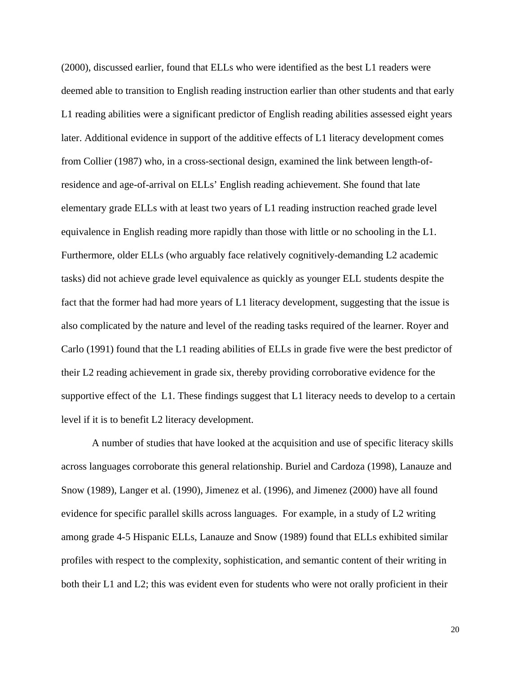(2000), discussed earlier, found that ELLs who were identified as the best L1 readers were deemed able to transition to English reading instruction earlier than other students and that early L1 reading abilities were a significant predictor of English reading abilities assessed eight years later. Additional evidence in support of the additive effects of L1 literacy development comes from Collier (1987) who, in a cross-sectional design, examined the link between length-ofresidence and age-of-arrival on ELLs' English reading achievement. She found that late elementary grade ELLs with at least two years of L1 reading instruction reached grade level equivalence in English reading more rapidly than those with little or no schooling in the L1. Furthermore, older ELLs (who arguably face relatively cognitively-demanding L2 academic tasks) did not achieve grade level equivalence as quickly as younger ELL students despite the fact that the former had had more years of L1 literacy development, suggesting that the issue is also complicated by the nature and level of the reading tasks required of the learner. Royer and Carlo (1991) found that the L1 reading abilities of ELLs in grade five were the best predictor of their L2 reading achievement in grade six, thereby providing corroborative evidence for the supportive effect of the L1. These findings suggest that L1 literacy needs to develop to a certain level if it is to benefit L2 literacy development.

A number of studies that have looked at the acquisition and use of specific literacy skills across languages corroborate this general relationship. Buriel and Cardoza (1998), Lanauze and Snow (1989), Langer et al. (1990), Jimenez et al. (1996), and Jimenez (2000) have all found evidence for specific parallel skills across languages. For example, in a study of L2 writing among grade 4-5 Hispanic ELLs, Lanauze and Snow (1989) found that ELLs exhibited similar profiles with respect to the complexity, sophistication, and semantic content of their writing in both their L1 and L2; this was evident even for students who were not orally proficient in their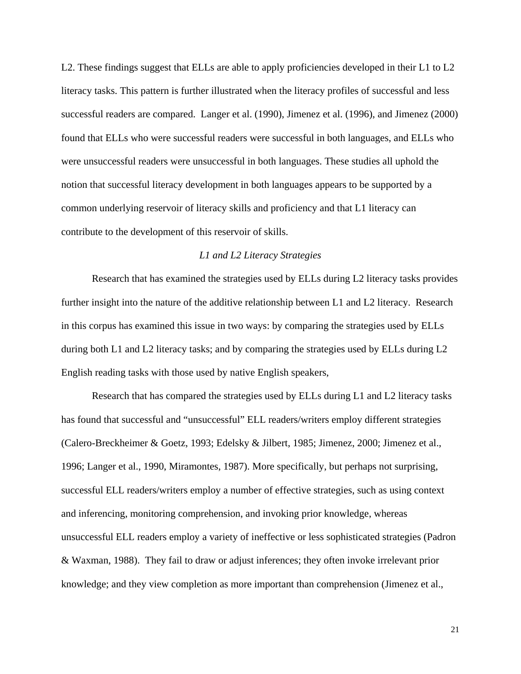L2. These findings suggest that ELLs are able to apply proficiencies developed in their L1 to L2 literacy tasks. This pattern is further illustrated when the literacy profiles of successful and less successful readers are compared. Langer et al. (1990), Jimenez et al. (1996), and Jimenez (2000) found that ELLs who were successful readers were successful in both languages, and ELLs who were unsuccessful readers were unsuccessful in both languages. These studies all uphold the notion that successful literacy development in both languages appears to be supported by a common underlying reservoir of literacy skills and proficiency and that L1 literacy can contribute to the development of this reservoir of skills.

# *L1 and L2 Literacy Strategies*

Research that has examined the strategies used by ELLs during L2 literacy tasks provides further insight into the nature of the additive relationship between L1 and L2 literacy. Research in this corpus has examined this issue in two ways: by comparing the strategies used by ELLs during both L1 and L2 literacy tasks; and by comparing the strategies used by ELLs during L2 English reading tasks with those used by native English speakers,

Research that has compared the strategies used by ELLs during L1 and L2 literacy tasks has found that successful and "unsuccessful" ELL readers/writers employ different strategies (Calero-Breckheimer & Goetz, 1993; Edelsky & Jilbert, 1985; Jimenez, 2000; Jimenez et al., 1996; Langer et al., 1990, Miramontes, 1987). More specifically, but perhaps not surprising, successful ELL readers/writers employ a number of effective strategies, such as using context and inferencing, monitoring comprehension, and invoking prior knowledge, whereas unsuccessful ELL readers employ a variety of ineffective or less sophisticated strategies (Padron & Waxman, 1988). They fail to draw or adjust inferences; they often invoke irrelevant prior knowledge; and they view completion as more important than comprehension (Jimenez et al.,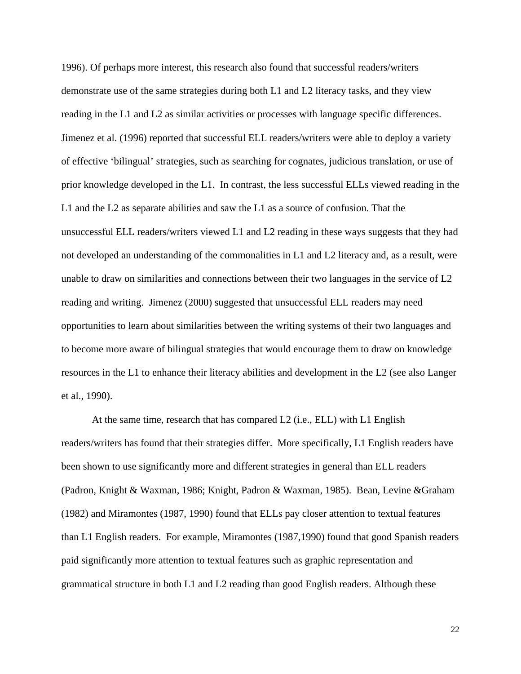1996). Of perhaps more interest, this research also found that successful readers/writers demonstrate use of the same strategies during both L1 and L2 literacy tasks, and they view reading in the L1 and L2 as similar activities or processes with language specific differences. Jimenez et al. (1996) reported that successful ELL readers/writers were able to deploy a variety of effective 'bilingual' strategies, such as searching for cognates, judicious translation, or use of prior knowledge developed in the L1. In contrast, the less successful ELLs viewed reading in the L1 and the L2 as separate abilities and saw the L1 as a source of confusion. That the unsuccessful ELL readers/writers viewed L1 and L2 reading in these ways suggests that they had not developed an understanding of the commonalities in L1 and L2 literacy and, as a result, were unable to draw on similarities and connections between their two languages in the service of L2 reading and writing. Jimenez (2000) suggested that unsuccessful ELL readers may need opportunities to learn about similarities between the writing systems of their two languages and to become more aware of bilingual strategies that would encourage them to draw on knowledge resources in the L1 to enhance their literacy abilities and development in the L2 (see also Langer et al., 1990).

At the same time, research that has compared L2 (i.e., ELL) with L1 English readers/writers has found that their strategies differ. More specifically, L1 English readers have been shown to use significantly more and different strategies in general than ELL readers (Padron, Knight & Waxman, 1986; Knight, Padron & Waxman, 1985). Bean, Levine &Graham (1982) and Miramontes (1987, 1990) found that ELLs pay closer attention to textual features than L1 English readers. For example, Miramontes (1987,1990) found that good Spanish readers paid significantly more attention to textual features such as graphic representation and grammatical structure in both L1 and L2 reading than good English readers. Although these

22<br>22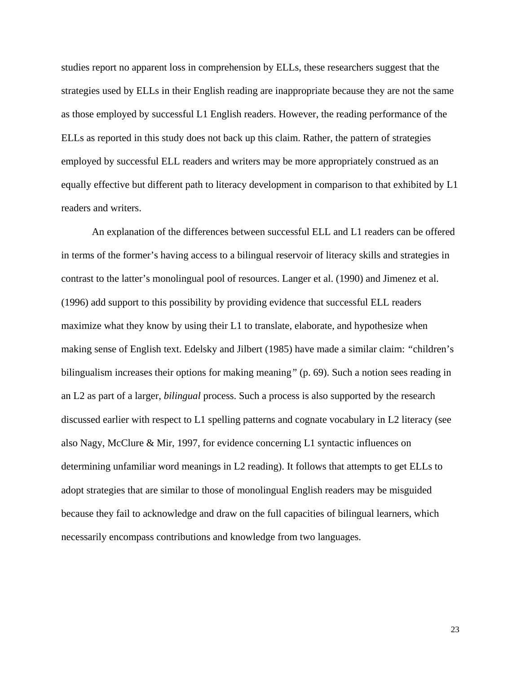studies report no apparent loss in comprehension by ELLs, these researchers suggest that the strategies used by ELLs in their English reading are inappropriate because they are not the same as those employed by successful L1 English readers. However, the reading performance of the ELLs as reported in this study does not back up this claim. Rather, the pattern of strategies employed by successful ELL readers and writers may be more appropriately construed as an equally effective but different path to literacy development in comparison to that exhibited by L1 readers and writers.

An explanation of the differences between successful ELL and L1 readers can be offered in terms of the former's having access to a bilingual reservoir of literacy skills and strategies in contrast to the latter's monolingual pool of resources. Langer et al. (1990) and Jimenez et al. (1996) add support to this possibility by providing evidence that successful ELL readers maximize what they know by using their L1 to translate, elaborate, and hypothesize when making sense of English text. Edelsky and Jilbert (1985) have made a similar claim: *"*children's bilingualism increases their options for making meaning*"* (p. 69). Such a notion sees reading in an L2 as part of a larger, *bilingual* process. Such a process is also supported by the research discussed earlier with respect to L1 spelling patterns and cognate vocabulary in L2 literacy (see also Nagy, McClure & Mir, 1997, for evidence concerning L1 syntactic influences on determining unfamiliar word meanings in L2 reading). It follows that attempts to get ELLs to adopt strategies that are similar to those of monolingual English readers may be misguided because they fail to acknowledge and draw on the full capacities of bilingual learners, which necessarily encompass contributions and knowledge from two languages.

23<br>23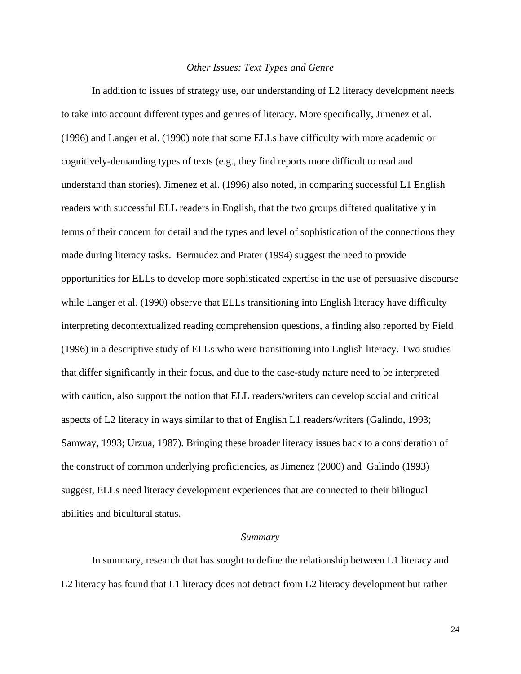## *Other Issues: Text Types and Genre*

In addition to issues of strategy use, our understanding of L2 literacy development needs to take into account different types and genres of literacy. More specifically, Jimenez et al. (1996) and Langer et al. (1990) note that some ELLs have difficulty with more academic or cognitively-demanding types of texts (e.g., they find reports more difficult to read and understand than stories). Jimenez et al. (1996) also noted, in comparing successful L1 English readers with successful ELL readers in English, that the two groups differed qualitatively in terms of their concern for detail and the types and level of sophistication of the connections they made during literacy tasks. Bermudez and Prater (1994) suggest the need to provide opportunities for ELLs to develop more sophisticated expertise in the use of persuasive discourse while Langer et al. (1990) observe that ELLs transitioning into English literacy have difficulty interpreting decontextualized reading comprehension questions, a finding also reported by Field (1996) in a descriptive study of ELLs who were transitioning into English literacy. Two studies that differ significantly in their focus, and due to the case-study nature need to be interpreted with caution, also support the notion that ELL readers/writers can develop social and critical aspects of L2 literacy in ways similar to that of English L1 readers/writers (Galindo, 1993; Samway, 1993; Urzua, 1987). Bringing these broader literacy issues back to a consideration of the construct of common underlying proficiencies, as Jimenez (2000) and Galindo (1993) suggest, ELLs need literacy development experiences that are connected to their bilingual abilities and bicultural status.

#### *Summary*

In summary, research that has sought to define the relationship between L1 literacy and L2 literacy has found that L1 literacy does not detract from L2 literacy development but rather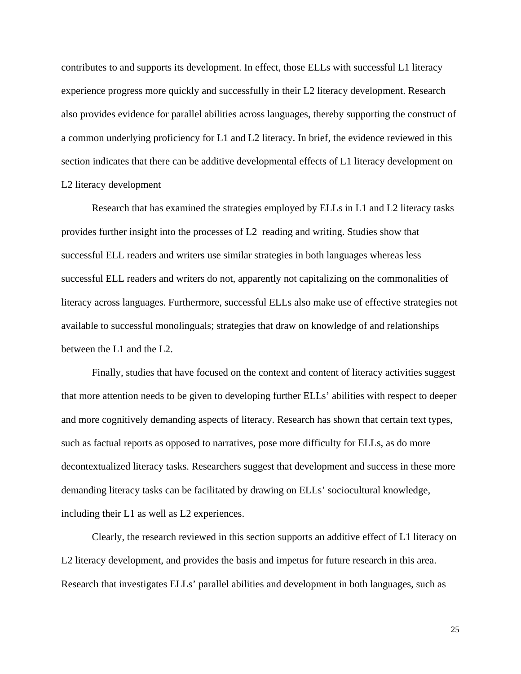contributes to and supports its development. In effect, those ELLs with successful L1 literacy experience progress more quickly and successfully in their L2 literacy development. Research also provides evidence for parallel abilities across languages, thereby supporting the construct of a common underlying proficiency for L1 and L2 literacy. In brief, the evidence reviewed in this section indicates that there can be additive developmental effects of L1 literacy development on L2 literacy development

Research that has examined the strategies employed by ELLs in L1 and L2 literacy tasks provides further insight into the processes of L2 reading and writing. Studies show that successful ELL readers and writers use similar strategies in both languages whereas less successful ELL readers and writers do not, apparently not capitalizing on the commonalities of literacy across languages. Furthermore, successful ELLs also make use of effective strategies not available to successful monolinguals; strategies that draw on knowledge of and relationships between the L1 and the L2.

Finally, studies that have focused on the context and content of literacy activities suggest that more attention needs to be given to developing further ELLs' abilities with respect to deeper and more cognitively demanding aspects of literacy. Research has shown that certain text types, such as factual reports as opposed to narratives, pose more difficulty for ELLs, as do more decontextualized literacy tasks. Researchers suggest that development and success in these more demanding literacy tasks can be facilitated by drawing on ELLs' sociocultural knowledge, including their L1 as well as L2 experiences.

Clearly, the research reviewed in this section supports an additive effect of L1 literacy on L2 literacy development, and provides the basis and impetus for future research in this area. Research that investigates ELLs' parallel abilities and development in both languages, such as

 $25$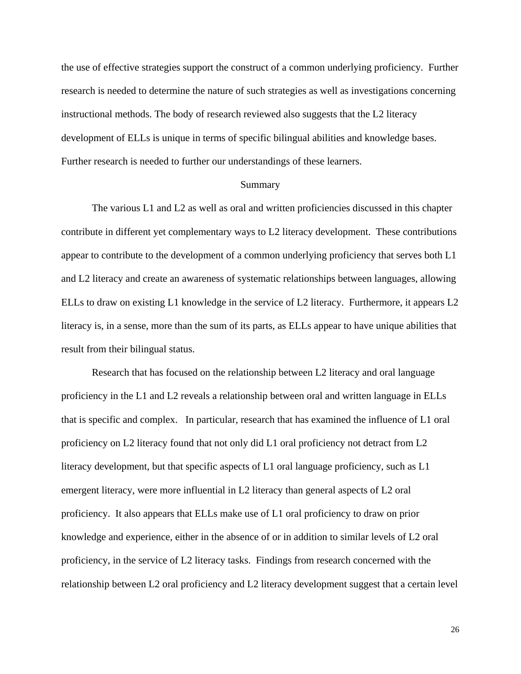the use of effective strategies support the construct of a common underlying proficiency. Further research is needed to determine the nature of such strategies as well as investigations concerning instructional methods. The body of research reviewed also suggests that the L2 literacy development of ELLs is unique in terms of specific bilingual abilities and knowledge bases. Further research is needed to further our understandings of these learners.

## Summary

The various L1 and L2 as well as oral and written proficiencies discussed in this chapter contribute in different yet complementary ways to L2 literacy development. These contributions appear to contribute to the development of a common underlying proficiency that serves both L1 and L2 literacy and create an awareness of systematic relationships between languages, allowing ELLs to draw on existing L1 knowledge in the service of L2 literacy. Furthermore, it appears L2 literacy is, in a sense, more than the sum of its parts, as ELLs appear to have unique abilities that result from their bilingual status.

Research that has focused on the relationship between L2 literacy and oral language proficiency in the L1 and L2 reveals a relationship between oral and written language in ELLs that is specific and complex. In particular, research that has examined the influence of L1 oral proficiency on L2 literacy found that not only did L1 oral proficiency not detract from L2 literacy development, but that specific aspects of L1 oral language proficiency, such as L1 emergent literacy, were more influential in L2 literacy than general aspects of L2 oral proficiency. It also appears that ELLs make use of L1 oral proficiency to draw on prior knowledge and experience, either in the absence of or in addition to similar levels of L2 oral proficiency, in the service of L2 literacy tasks. Findings from research concerned with the relationship between L2 oral proficiency and L2 literacy development suggest that a certain level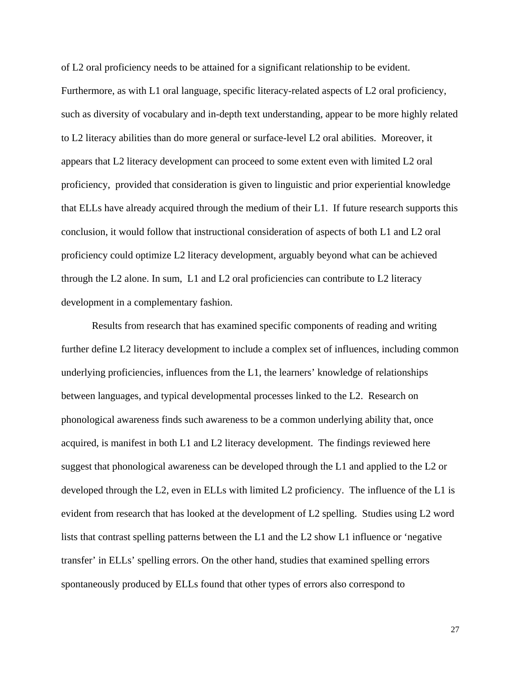of L2 oral proficiency needs to be attained for a significant relationship to be evident. Furthermore, as with L1 oral language, specific literacy-related aspects of L2 oral proficiency, such as diversity of vocabulary and in-depth text understanding, appear to be more highly related to L2 literacy abilities than do more general or surface-level L2 oral abilities. Moreover, it appears that L2 literacy development can proceed to some extent even with limited L2 oral proficiency, provided that consideration is given to linguistic and prior experiential knowledge that ELLs have already acquired through the medium of their L1. If future research supports this conclusion, it would follow that instructional consideration of aspects of both L1 and L2 oral proficiency could optimize L2 literacy development, arguably beyond what can be achieved through the L2 alone. In sum, L1 and L2 oral proficiencies can contribute to L2 literacy development in a complementary fashion.

Results from research that has examined specific components of reading and writing further define L2 literacy development to include a complex set of influences, including common underlying proficiencies, influences from the L1, the learners' knowledge of relationships between languages, and typical developmental processes linked to the L2. Research on phonological awareness finds such awareness to be a common underlying ability that, once acquired, is manifest in both L1 and L2 literacy development. The findings reviewed here suggest that phonological awareness can be developed through the L1 and applied to the L2 or developed through the L2, even in ELLs with limited L2 proficiency. The influence of the L1 is evident from research that has looked at the development of L2 spelling. Studies using L2 word lists that contrast spelling patterns between the L1 and the L2 show L1 influence or 'negative transfer' in ELLs' spelling errors. On the other hand, studies that examined spelling errors spontaneously produced by ELLs found that other types of errors also correspond to

27 and 2012 and 2012 and 2012 and 2012 and 2012 and 2012 and 2012 and 2012 and 2012 and 2012 and 201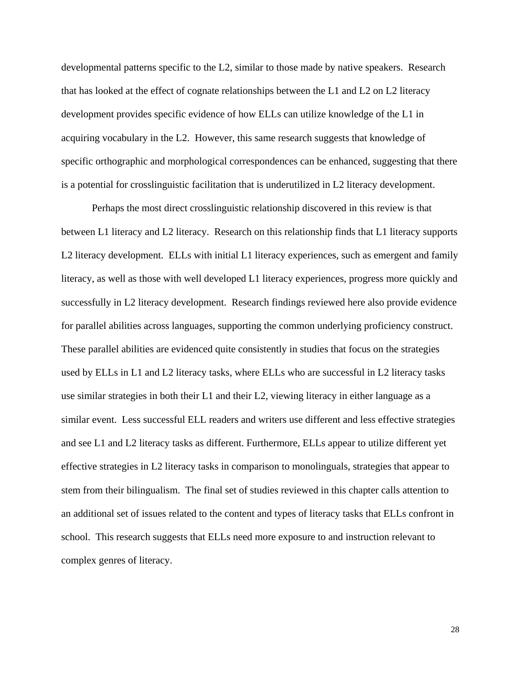developmental patterns specific to the L2, similar to those made by native speakers. Research that has looked at the effect of cognate relationships between the L1 and L2 on L2 literacy development provides specific evidence of how ELLs can utilize knowledge of the L1 in acquiring vocabulary in the L2. However, this same research suggests that knowledge of specific orthographic and morphological correspondences can be enhanced, suggesting that there is a potential for crosslinguistic facilitation that is underutilized in L2 literacy development.

Perhaps the most direct crosslinguistic relationship discovered in this review is that between L1 literacy and L2 literacy. Research on this relationship finds that L1 literacy supports L2 literacy development. ELLs with initial L1 literacy experiences, such as emergent and family literacy, as well as those with well developed L1 literacy experiences, progress more quickly and successfully in L2 literacy development. Research findings reviewed here also provide evidence for parallel abilities across languages, supporting the common underlying proficiency construct. These parallel abilities are evidenced quite consistently in studies that focus on the strategies used by ELLs in L1 and L2 literacy tasks, where ELLs who are successful in L2 literacy tasks use similar strategies in both their L1 and their L2, viewing literacy in either language as a similar event. Less successful ELL readers and writers use different and less effective strategies and see L1 and L2 literacy tasks as different. Furthermore, ELLs appear to utilize different yet effective strategies in L2 literacy tasks in comparison to monolinguals, strategies that appear to stem from their bilingualism. The final set of studies reviewed in this chapter calls attention to an additional set of issues related to the content and types of literacy tasks that ELLs confront in school. This research suggests that ELLs need more exposure to and instruction relevant to complex genres of literacy.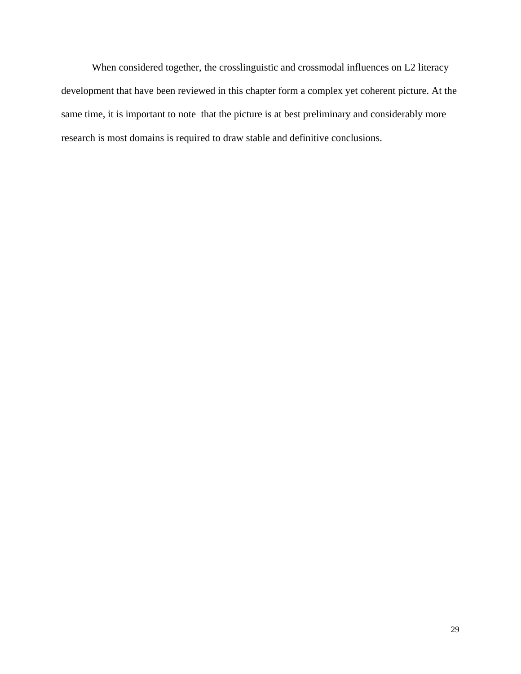When considered together, the crosslinguistic and crossmodal influences on L2 literacy development that have been reviewed in this chapter form a complex yet coherent picture. At the same time, it is important to note that the picture is at best preliminary and considerably more research is most domains is required to draw stable and definitive conclusions.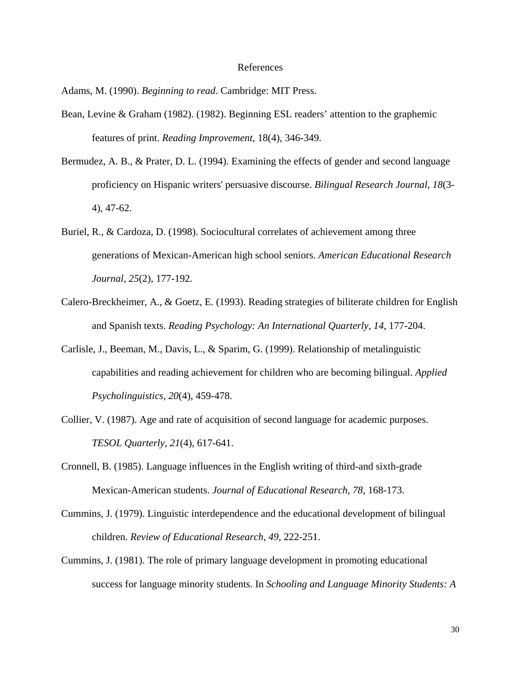#### References

Adams, M. (1990). *Beginning to read*. Cambridge: MIT Press.

- Bean, Levine & Graham (1982). (1982). Beginning ESL readers' attention to the graphemic features of print. *Reading Improvement*, 18(4), 346-349.
- Bermudez, A. B., & Prater, D. L. (1994). Examining the effects of gender and second language proficiency on Hispanic writers' persuasive discourse. *Bilingual Research Journal*, *18*(3- 4), 47-62.
- Buriel, R., & Cardoza, D. (1998). Sociocultural correlates of achievement among three generations of Mexican-American high school seniors. *American Educational Research Journal, 25*(2), 177-192.
- Calero-Breckheimer, A., & Goetz, E. (1993). Reading strategies of biliterate children for English and Spanish texts. *Reading Psychology: An International Quarterly*, *14*, 177-204.
- Carlisle, J., Beeman, M., Davis, L., & Sparim, G. (1999). Relationship of metalinguistic capabilities and reading achievement for children who are becoming bilingual. *Applied Psycholinguistics, 20*(4), 459-478.
- Collier, V. (1987). Age and rate of acquisition of second language for academic purposes. *TESOL Quarterly, 21*(4), 617-641.
- Cronnell, B. (1985). Language influences in the English writing of third-and sixth-grade Mexican-American students. *Journal of Educational Research, 78,* 168-173.
- Cummins, J. (1979). Linguistic interdependence and the educational development of bilingual children. *Review of Educational Research, 49*, 222-251.
- Cummins, J. (1981). The role of primary language development in promoting educational success for language minority students. In *Schooling and Language Minority Students: A*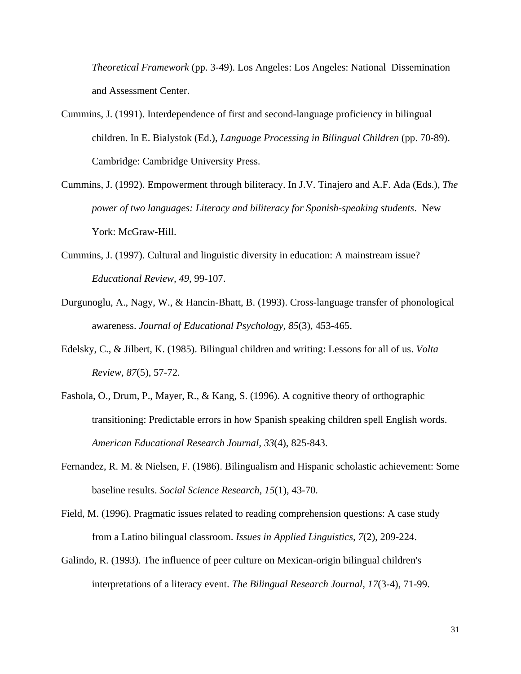*Theoretical Framework* (pp. 3-49). Los Angeles: Los Angeles: National Dissemination and Assessment Center.

- Cummins, J. (1991). Interdependence of first and second-language proficiency in bilingual children. In E. Bialystok (Ed.), *Language Processing in Bilingual Children* (pp. 70-89). Cambridge: Cambridge University Press.
- Cummins, J. (1992). Empowerment through biliteracy. In J.V. Tinajero and A.F. Ada (Eds.), *The power of two languages: Literacy and biliteracy for Spanish-speaking students*. New York: McGraw-Hill.
- Cummins, J. (1997). Cultural and linguistic diversity in education: A mainstream issue? *Educational Review, 49*, 99-107.
- Durgunoglu, A., Nagy, W., & Hancin-Bhatt, B. (1993). Cross-language transfer of phonological awareness. *Journal of Educational Psychology, 85*(3), 453-465.
- Edelsky, C., & Jilbert, K. (1985). Bilingual children and writing: Lessons for all of us. *Volta Review, 87*(5), 57-72.
- Fashola, O., Drum, P., Mayer, R., & Kang, S. (1996). A cognitive theory of orthographic transitioning: Predictable errors in how Spanish speaking children spell English words. *American Educational Research Journal, 33*(4), 825-843.
- Fernandez, R. M. & Nielsen, F. (1986). Bilingualism and Hispanic scholastic achievement: Some baseline results. *Social Science Research, 15*(1), 43-70.
- Field, M. (1996). Pragmatic issues related to reading comprehension questions: A case study from a Latino bilingual classroom. *Issues in Applied Linguistics, 7*(2), 209-224.
- Galindo, R. (1993). The influence of peer culture on Mexican-origin bilingual children's interpretations of a literacy event. *The Bilingual Research Journal, 17*(3-4), 71-99.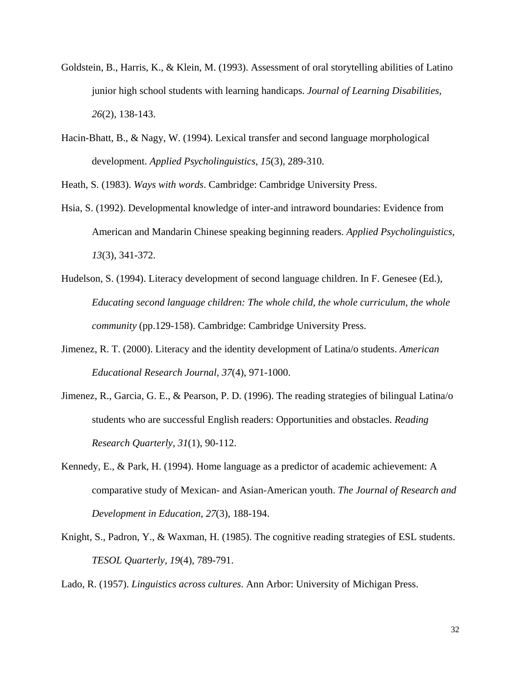- Goldstein, B., Harris, K., & Klein, M. (1993). Assessment of oral storytelling abilities of Latino junior high school students with learning handicaps. *Journal of Learning Disabilities, 26*(2), 138-143.
- Hacin-Bhatt, B., & Nagy, W. (1994). Lexical transfer and second language morphological development. *Applied Psycholinguistics, 15*(3), 289-310.

Heath, S. (1983). *Ways with words*. Cambridge: Cambridge University Press.

- Hsia, S. (1992). Developmental knowledge of inter-and intraword boundaries: Evidence from American and Mandarin Chinese speaking beginning readers. *Applied Psycholinguistics, 13*(3), 341-372.
- Hudelson, S. (1994). Literacy development of second language children. In F. Genesee (Ed.), *Educating second language children: The whole child, the whole curriculum, the whole community* (pp.129-158). Cambridge: Cambridge University Press.
- Jimenez, R. T. (2000). Literacy and the identity development of Latina/o students. *American Educational Research Journal, 37*(4), 971-1000.
- Jimenez, R., Garcia, G. E., & Pearson, P. D. (1996). The reading strategies of bilingual Latina/o students who are successful English readers: Opportunities and obstacles. *Reading Research Quarterly, 31*(1), 90-112.
- Kennedy, E., & Park, H. (1994). Home language as a predictor of academic achievement: A comparative study of Mexican- and Asian-American youth. *The Journal of Research and Development in Education, 27*(3), 188-194.
- Knight, S., Padron, Y., & Waxman, H. (1985). The cognitive reading strategies of ESL students. *TESOL Quarterly, 19*(4), 789-791.

Lado, R. (1957). *Linguistics across cultures*. Ann Arbor: University of Michigan Press.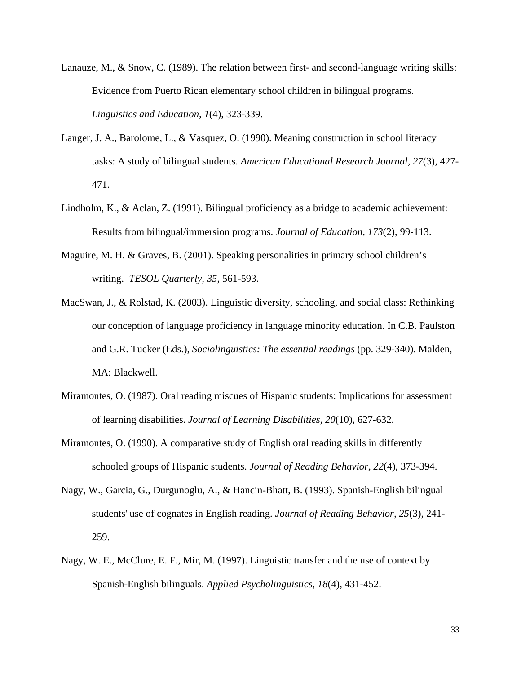- Lanauze, M., & Snow, C. (1989). The relation between first- and second-language writing skills: Evidence from Puerto Rican elementary school children in bilingual programs. *Linguistics and Education, 1*(4), 323-339.
- Langer, J. A., Barolome, L., & Vasquez, O. (1990). Meaning construction in school literacy tasks: A study of bilingual students. *American Educational Research Journal, 27*(3), 427- 471.
- Lindholm, K., & Aclan, Z. (1991). Bilingual proficiency as a bridge to academic achievement: Results from bilingual/immersion programs. *Journal of Education, 173*(2), 99-113.
- Maguire, M. H. & Graves, B. (2001). Speaking personalities in primary school children's writing. *TESOL Quarterly, 35*, 561-593.
- MacSwan, J., & Rolstad, K. (2003). Linguistic diversity, schooling, and social class: Rethinking our conception of language proficiency in language minority education. In C.B. Paulston and G.R. Tucker (Eds.), *Sociolinguistics: The essential readings* (pp. 329-340). Malden, MA: Blackwell.
- Miramontes, O. (1987). Oral reading miscues of Hispanic students: Implications for assessment of learning disabilities. *Journal of Learning Disabilities, 20*(10), 627-632.
- Miramontes, O. (1990). A comparative study of English oral reading skills in differently schooled groups of Hispanic students. *Journal of Reading Behavior, 22*(4), 373-394.
- Nagy, W., Garcia, G., Durgunoglu, A., & Hancin-Bhatt, B. (1993). Spanish-English bilingual students' use of cognates in English reading. *Journal of Reading Behavior, 25*(3), 241- 259.
- Nagy, W. E., McClure, E. F., Mir, M. (1997). Linguistic transfer and the use of context by Spanish-English bilinguals. *Applied Psycholinguistics, 18*(4), 431-452.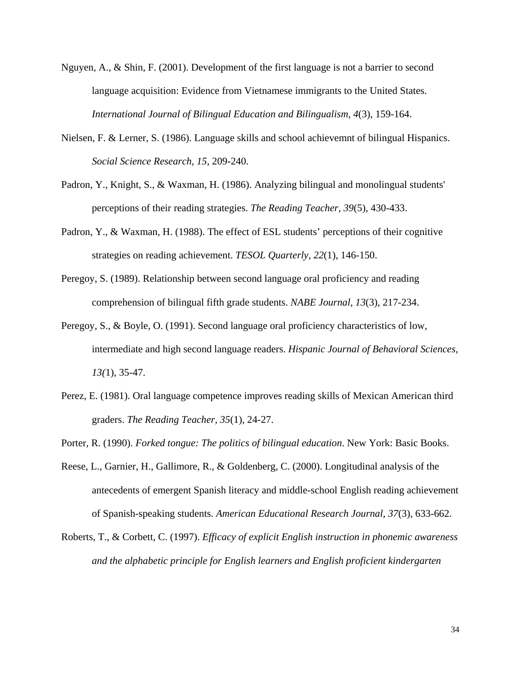- Nguyen, A., & Shin, F. (2001). Development of the first language is not a barrier to second language acquisition: Evidence from Vietnamese immigrants to the United States. *International Journal of Bilingual Education and Bilingualism, 4*(3), 159-164.
- Nielsen, F. & Lerner, S. (1986). Language skills and school achievemnt of bilingual Hispanics. *Social Science Research, 15,* 209-240.
- Padron, Y., Knight, S., & Waxman, H. (1986). Analyzing bilingual and monolingual students' perceptions of their reading strategies. *The Reading Teacher, 39*(5), 430-433.
- Padron, Y., & Waxman, H. (1988). The effect of ESL students' perceptions of their cognitive strategies on reading achievement. *TESOL Quarterly, 22*(1), 146-150.
- Peregoy, S. (1989). Relationship between second language oral proficiency and reading comprehension of bilingual fifth grade students. *NABE Journal, 13*(3), 217-234.
- Peregoy, S., & Boyle, O. (1991). Second language oral proficiency characteristics of low, intermediate and high second language readers. *Hispanic Journal of Behavioral Sciences, 13(*1), 35-47.
- Perez, E. (1981). Oral language competence improves reading skills of Mexican American third graders. *The Reading Teacher, 35*(1), 24-27.
- Porter, R. (1990). *Forked tongue: The politics of bilingual education*. New York: Basic Books.
- Reese, L., Garnier, H., Gallimore, R., & Goldenberg, C. (2000). Longitudinal analysis of the antecedents of emergent Spanish literacy and middle-school English reading achievement of Spanish-speaking students. *American Educational Research Journal, 37*(3), 633-662.
- Roberts, T., & Corbett, C. (1997). *Efficacy of explicit English instruction in phonemic awareness and the alphabetic principle for English learners and English proficient kindergarten*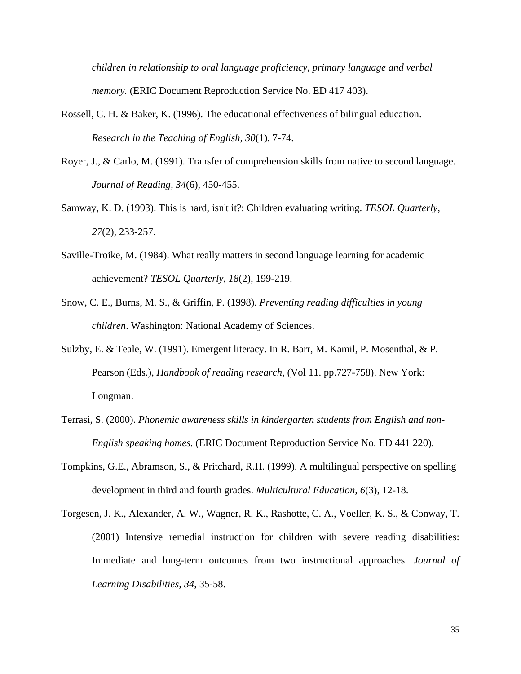*children in relationship to oral language proficiency, primary language and verbal memory.* (ERIC Document Reproduction Service No. ED 417 403).

- Rossell, C. H. & Baker, K. (1996). The educational effectiveness of bilingual education. *Research in the Teaching of English, 30*(1), 7-74.
- Royer, J., & Carlo, M. (1991). Transfer of comprehension skills from native to second language. *Journal of Reading, 34*(6), 450-455.
- Samway, K. D. (1993). This is hard, isn't it?: Children evaluating writing. *TESOL Quarterly, 27*(2), 233-257.
- Saville-Troike, M. (1984). What really matters in second language learning for academic achievement? *TESOL Quarterly, 18*(2), 199-219.
- Snow, C. E., Burns, M. S., & Griffin, P. (1998). *Preventing reading difficulties in young children*. Washington: National Academy of Sciences.
- Sulzby, E. & Teale, W. (1991). Emergent literacy. In R. Barr, M. Kamil, P. Mosenthal, & P. Pearson (Eds.), *Handbook of reading research*, (Vol 11. pp.727-758). New York: Longman.
- Terrasi, S. (2000). *Phonemic awareness skills in kindergarten students from English and non-English speaking homes.* (ERIC Document Reproduction Service No. ED 441 220).
- Tompkins, G.E., Abramson, S., & Pritchard, R.H. (1999). A multilingual perspective on spelling development in third and fourth grades. *Multicultural Education, 6*(3), 12-18.
- Torgesen, J. K., Alexander, A. W., Wagner, R. K., Rashotte, C. A., Voeller, K. S., & Conway, T. (2001) Intensive remedial instruction for children with severe reading disabilities: Immediate and long-term outcomes from two instructional approaches. *Journal of Learning Disabilities, 34*, 35-58.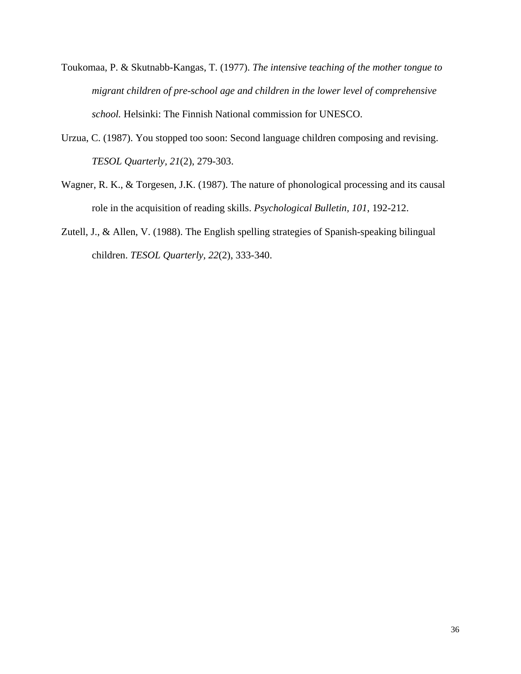- Toukomaa, P. & Skutnabb-Kangas, T. (1977). *The intensive teaching of the mother tongue to migrant children of pre-school age and children in the lower level of comprehensive school.* Helsinki: The Finnish National commission for UNESCO.
- Urzua, C. (1987). You stopped too soon: Second language children composing and revising. *TESOL Quarterly, 21*(2), 279-303.
- Wagner, R. K., & Torgesen, J.K. (1987). The nature of phonological processing and its causal role in the acquisition of reading skills. *Psychological Bulletin, 101*, 192-212.
- Zutell, J., & Allen, V. (1988). The English spelling strategies of Spanish-speaking bilingual children. *TESOL Quarterly, 22*(2), 333-340.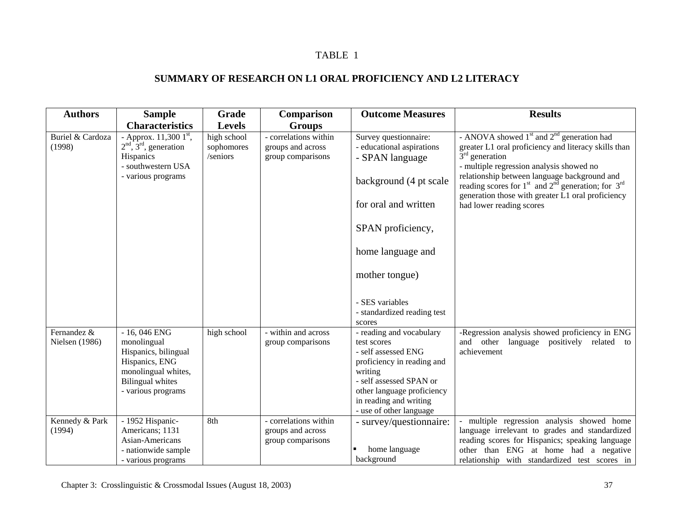# **SUMMARY OF RESEARCH ON L1 ORAL PROFICIENCY AND L2 LITERACY**

| <b>Authors</b>                | <b>Sample</b>                                                                                                                                  | Grade                                 | Comparison                                                      | <b>Outcome Measures</b>                                                                                                                                                                                               | <b>Results</b>                                                                                                                                                                                                                                                                                                                                                     |
|-------------------------------|------------------------------------------------------------------------------------------------------------------------------------------------|---------------------------------------|-----------------------------------------------------------------|-----------------------------------------------------------------------------------------------------------------------------------------------------------------------------------------------------------------------|--------------------------------------------------------------------------------------------------------------------------------------------------------------------------------------------------------------------------------------------------------------------------------------------------------------------------------------------------------------------|
|                               | <b>Characteristics</b>                                                                                                                         | <b>Levels</b>                         | <b>Groups</b>                                                   |                                                                                                                                                                                                                       |                                                                                                                                                                                                                                                                                                                                                                    |
| Buriel & Cardoza<br>(1998)    | - Approx. $11,3001$ <sup>st</sup> ,<br>$2nd$ , $3rd$ , generation<br>Hispanics<br>- southwestern USA<br>- various programs                     | high school<br>sophomores<br>/seniors | - correlations within<br>groups and across<br>group comparisons | Survey questionnaire:<br>- educational aspirations<br>- SPAN language<br>background (4 pt scale<br>for oral and written                                                                                               | - ANOVA showed $1st$ and $2nd$ generation had<br>greater L1 oral proficiency and literacy skills than<br>$3rd$ generation<br>- multiple regression analysis showed no<br>relationship between language background and<br>reading scores for $1st$ and $2nd$ generation; for $3rd$<br>generation those with greater L1 oral proficiency<br>had lower reading scores |
|                               |                                                                                                                                                |                                       |                                                                 | SPAN proficiency,                                                                                                                                                                                                     |                                                                                                                                                                                                                                                                                                                                                                    |
|                               |                                                                                                                                                |                                       |                                                                 | home language and                                                                                                                                                                                                     |                                                                                                                                                                                                                                                                                                                                                                    |
|                               |                                                                                                                                                |                                       |                                                                 | mother tongue)                                                                                                                                                                                                        |                                                                                                                                                                                                                                                                                                                                                                    |
|                               |                                                                                                                                                |                                       |                                                                 | - SES variables<br>- standardized reading test<br>scores                                                                                                                                                              |                                                                                                                                                                                                                                                                                                                                                                    |
| Fernandez &<br>Nielsen (1986) | $-16,046$ ENG<br>monolingual<br>Hispanics, bilingual<br>Hispanics, ENG<br>monolingual whites,<br><b>Bilingual</b> whites<br>- various programs | high school                           | - within and across<br>group comparisons                        | - reading and vocabulary<br>test scores<br>- self assessed ENG<br>proficiency in reading and<br>writing<br>- self assessed SPAN or<br>other language proficiency<br>in reading and writing<br>- use of other language | -Regression analysis showed proficiency in ENG<br>and other<br>language positively related to<br>achievement                                                                                                                                                                                                                                                       |
| Kennedy & Park<br>(1994)      | - 1952 Hispanic-<br>Americans; 1131<br>Asian-Americans<br>- nationwide sample<br>- various programs                                            | 8th                                   | - correlations within<br>groups and across<br>group comparisons | - survey/questionnaire:<br>home language<br>background                                                                                                                                                                | multiple regression analysis showed home<br>language irrelevant to grades and standardized<br>reading scores for Hispanics; speaking language<br>other than ENG at home had a negative<br>relationship with standardized test scores in                                                                                                                            |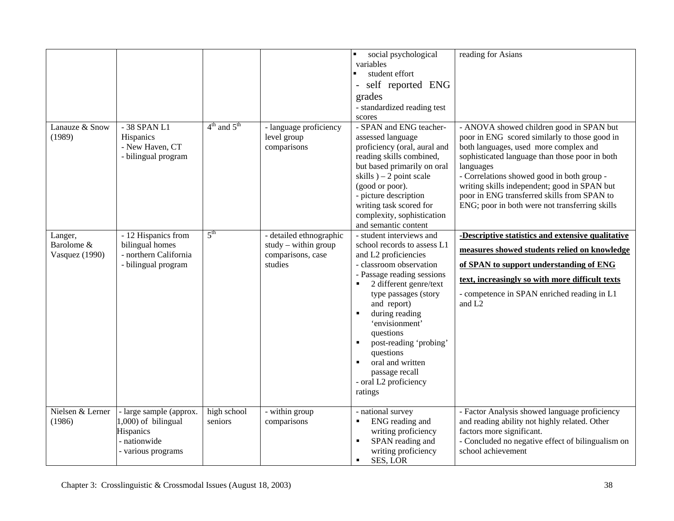|                                         |                                                                                                   |                        |                                                                                   | social psychological<br>variables<br>student effort<br>self reported ENG<br>grades<br>- standardized reading test<br>scores                                                                                                                                                                                                                                                                   | reading for Asians                                                                                                                                                                                                                                                                                                                                                                               |
|-----------------------------------------|---------------------------------------------------------------------------------------------------|------------------------|-----------------------------------------------------------------------------------|-----------------------------------------------------------------------------------------------------------------------------------------------------------------------------------------------------------------------------------------------------------------------------------------------------------------------------------------------------------------------------------------------|--------------------------------------------------------------------------------------------------------------------------------------------------------------------------------------------------------------------------------------------------------------------------------------------------------------------------------------------------------------------------------------------------|
| Lanauze & Snow<br>(1989)                | - 38 SPAN L1<br>Hispanics<br>- New Haven, CT<br>- bilingual program                               | $4th$ and $5th$        | - language proficiency<br>level group<br>comparisons                              | - SPAN and ENG teacher-<br>assessed language<br>proficiency (oral, aural and<br>reading skills combined,<br>but based primarily on oral<br>skills $-2$ point scale<br>(good or poor).<br>- picture description<br>writing task scored for<br>complexity, sophistication<br>and semantic content                                                                                               | - ANOVA showed children good in SPAN but<br>poor in ENG scored similarly to those good in<br>both languages, used more complex and<br>sophisticated language than those poor in both<br>languages<br>- Correlations showed good in both group -<br>writing skills independent; good in SPAN but<br>poor in ENG transferred skills from SPAN to<br>ENG; poor in both were not transferring skills |
| Langer,<br>Barolome &<br>Vasquez (1990) | - 12 Hispanics from<br>bilingual homes<br>- northern California<br>- bilingual program            | $5^{\text{th}}$        | - detailed ethnographic<br>$study - within group$<br>comparisons, case<br>studies | - student interviews and<br>school records to assess L1<br>and L2 proficiencies<br>- classroom observation<br>- Passage reading sessions<br>2 different genre/text<br>type passages (story<br>and report)<br>during reading<br>'envisionment'<br>questions<br>post-reading 'probing'<br>questions<br>oral and written<br>$\blacksquare$<br>passage recall<br>- oral L2 proficiency<br>ratings | -Descriptive statistics and extensive qualitative<br>measures showed students relied on knowledge<br>of SPAN to support understanding of ENG<br>text, increasingly so with more difficult texts<br>- competence in SPAN enriched reading in L1<br>and L <sub>2</sub>                                                                                                                             |
| Nielsen & Lerner<br>(1986)              | - large sample (approx.<br>1,000) of bilingual<br>Hispanics<br>- nationwide<br>- various programs | high school<br>seniors | - within group<br>comparisons                                                     | - national survey<br>ENG reading and<br>writing proficiency<br>SPAN reading and<br>writing proficiency<br>SES, LOR<br>$\blacksquare$                                                                                                                                                                                                                                                          | - Factor Analysis showed language proficiency<br>and reading ability not highly related. Other<br>factors more significant.<br>- Concluded no negative effect of bilingualism on<br>school achievement                                                                                                                                                                                           |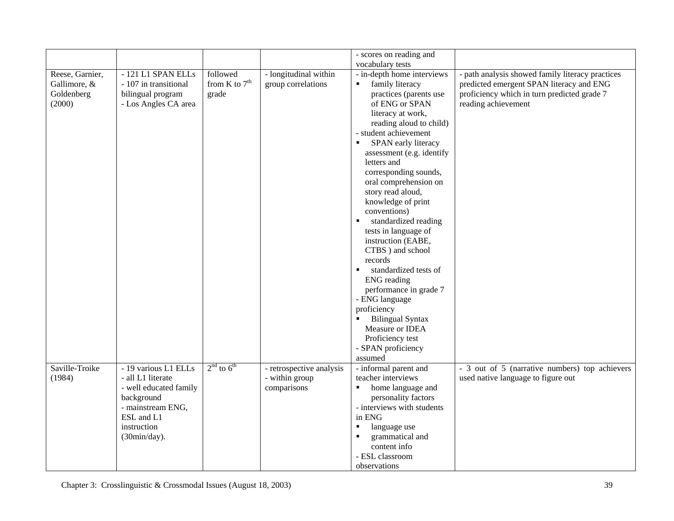|                 |                        |                 |                          | - scores on reading and                 |                                                  |
|-----------------|------------------------|-----------------|--------------------------|-----------------------------------------|--------------------------------------------------|
|                 |                        |                 |                          | vocabulary tests                        |                                                  |
| Reese, Garnier, | - 121 L1 SPAN ELLs     | followed        | - longitudinal within    | - in-depth home interviews              | - path analysis showed family literacy practices |
| Gallimore, &    | - 107 in transitional  | from K to $7th$ | group correlations       | family literacy<br>$\blacksquare$       | predicted emergent SPAN literacy and ENG         |
| Goldenberg      | bilingual program      | grade           |                          | practices (parents use                  | proficiency which in turn predicted grade 7      |
| (2000)          | - Los Angles CA area   |                 |                          | of ENG or SPAN                          | reading achievement                              |
|                 |                        |                 |                          | literacy at work,                       |                                                  |
|                 |                        |                 |                          | reading aloud to child)                 |                                                  |
|                 |                        |                 |                          | - student achievement                   |                                                  |
|                 |                        |                 |                          | SPAN early literacy<br>$\blacksquare$   |                                                  |
|                 |                        |                 |                          | assessment (e.g. identify               |                                                  |
|                 |                        |                 |                          | letters and                             |                                                  |
|                 |                        |                 |                          | corresponding sounds,                   |                                                  |
|                 |                        |                 |                          | oral comprehension on                   |                                                  |
|                 |                        |                 |                          | story read aloud,                       |                                                  |
|                 |                        |                 |                          | knowledge of print                      |                                                  |
|                 |                        |                 |                          | conventions)                            |                                                  |
|                 |                        |                 |                          | standardized reading                    |                                                  |
|                 |                        |                 |                          | tests in language of                    |                                                  |
|                 |                        |                 |                          | instruction (EABE,                      |                                                  |
|                 |                        |                 |                          | CTBS ) and school                       |                                                  |
|                 |                        |                 |                          | records                                 |                                                  |
|                 |                        |                 |                          | standardized tests of<br>$\blacksquare$ |                                                  |
|                 |                        |                 |                          | <b>ENG</b> reading                      |                                                  |
|                 |                        |                 |                          | performance in grade 7                  |                                                  |
|                 |                        |                 |                          | - ENG language                          |                                                  |
|                 |                        |                 |                          | proficiency                             |                                                  |
|                 |                        |                 |                          | <b>Bilingual Syntax</b>                 |                                                  |
|                 |                        |                 |                          | Measure or IDEA                         |                                                  |
|                 |                        |                 |                          | Proficiency test                        |                                                  |
|                 |                        |                 |                          | - SPAN proficiency                      |                                                  |
|                 |                        |                 |                          | assumed                                 |                                                  |
| Saville-Troike  | - 19 various L1 ELLs   | $2nd$ to $6th$  | - retrospective analysis | - informal parent and                   | - 3 out of 5 (narrative numbers) top achievers   |
| (1984)          | - all L1 literate      |                 | - within group           | teacher interviews                      | used native language to figure out               |
|                 | - well educated family |                 | comparisons              | home language and<br>٠                  |                                                  |
|                 | background             |                 |                          | personality factors                     |                                                  |
|                 | - mainstream ENG,      |                 |                          | - interviews with students              |                                                  |
|                 | ESL and L1             |                 |                          | in ENG                                  |                                                  |
|                 | instruction            |                 |                          | language use<br>$\blacksquare$          |                                                  |
|                 | (30min/day).           |                 |                          | grammatical and                         |                                                  |
|                 |                        |                 |                          | content info                            |                                                  |
|                 |                        |                 |                          | - ESL classroom                         |                                                  |
|                 |                        |                 |                          | observations                            |                                                  |
|                 |                        |                 |                          |                                         |                                                  |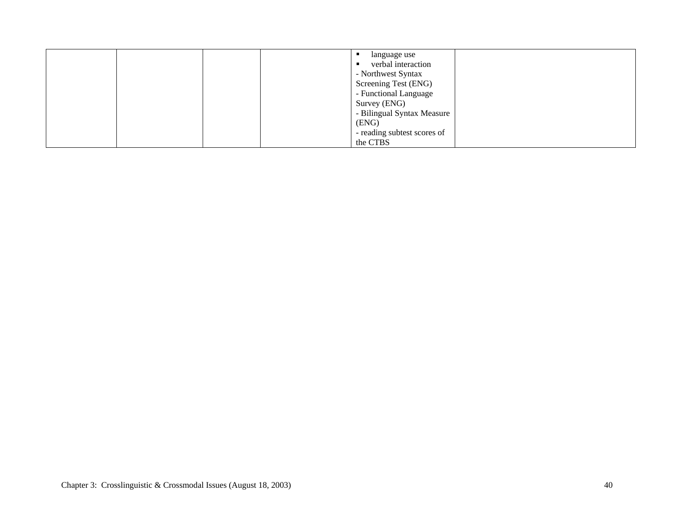|  |  | language use                |  |
|--|--|-----------------------------|--|
|  |  | verbal interaction          |  |
|  |  | - Northwest Syntax          |  |
|  |  | Screening Test (ENG)        |  |
|  |  | - Functional Language       |  |
|  |  | Survey (ENG)                |  |
|  |  | - Bilingual Syntax Measure  |  |
|  |  | (ENG)                       |  |
|  |  | - reading subtest scores of |  |
|  |  | the CTBS                    |  |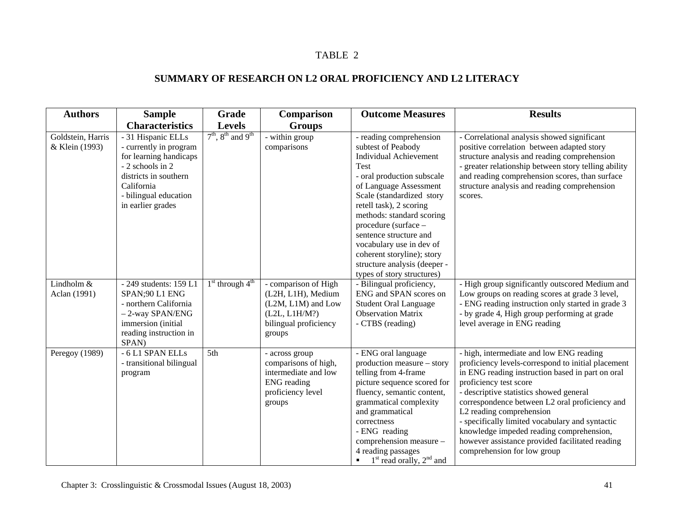# **SUMMARY OF RESEARCH ON L2 ORAL PROFICIENCY AND L2 LITERACY**

| <b>Authors</b>                      | <b>Sample</b><br><b>Characteristics</b>                                                                                                                                         | Grade<br><b>Levels</b>  | Comparison<br><b>Groups</b>                                                                                          | <b>Outcome Measures</b>                                                                                                                                                                                                                                                                                                                                                                                              | <b>Results</b>                                                                                                                                                                                                                                                                                                                                                                                                                                                                         |
|-------------------------------------|---------------------------------------------------------------------------------------------------------------------------------------------------------------------------------|-------------------------|----------------------------------------------------------------------------------------------------------------------|----------------------------------------------------------------------------------------------------------------------------------------------------------------------------------------------------------------------------------------------------------------------------------------------------------------------------------------------------------------------------------------------------------------------|----------------------------------------------------------------------------------------------------------------------------------------------------------------------------------------------------------------------------------------------------------------------------------------------------------------------------------------------------------------------------------------------------------------------------------------------------------------------------------------|
| Goldstein, Harris<br>& Klein (1993) | - 31 Hispanic ELLs<br>- currently in program<br>for learning handicaps<br>- 2 schools in 2<br>districts in southern<br>California<br>- bilingual education<br>in earlier grades | $7th$ , $8th$ and $9th$ | - within group<br>comparisons                                                                                        | - reading comprehension<br>subtest of Peabody<br><b>Individual Achievement</b><br><b>Test</b><br>- oral production subscale<br>of Language Assessment<br>Scale (standardized story<br>retell task), 2 scoring<br>methods: standard scoring<br>procedure (surface -<br>sentence structure and<br>vocabulary use in dev of<br>coherent storyline); story<br>structure analysis (deeper -<br>types of story structures) | - Correlational analysis showed significant<br>positive correlation between adapted story<br>structure analysis and reading comprehension<br>- greater relationship between story telling ability<br>and reading comprehension scores, than surface<br>structure analysis and reading comprehension<br>scores.                                                                                                                                                                         |
| Lindholm &<br>Aclan (1991)          | - 249 students: 159 L1<br>SPAN;90 L1 ENG<br>- northern California<br>$-2$ -way SPAN/ENG<br>immersion (initial<br>reading instruction in<br>SPAN)                                | $1st$ through $4th$     | - comparison of High<br>(L2H, L1H), Medium<br>(L2M, L1M) and Low<br>(L2L, L1H/M?)<br>bilingual proficiency<br>groups | - Bilingual proficiency,<br>ENG and SPAN scores on<br><b>Student Oral Language</b><br><b>Observation Matrix</b><br>- CTBS (reading)                                                                                                                                                                                                                                                                                  | - High group significantly outscored Medium and<br>Low groups on reading scores at grade 3 level,<br>- ENG reading instruction only started in grade 3<br>- by grade 4, High group performing at grade<br>level average in ENG reading                                                                                                                                                                                                                                                 |
| Peregoy (1989)                      | - 6 L1 SPAN ELLs<br>- transitional bilingual<br>program                                                                                                                         | 5th                     | - across group<br>comparisons of high,<br>intermediate and low<br><b>ENG</b> reading<br>proficiency level<br>groups  | - ENG oral language<br>production measure – story<br>telling from 4-frame<br>picture sequence scored for<br>fluency, semantic content,<br>grammatical complexity<br>and grammatical<br>correctness<br>- ENG reading<br>comprehension measure -<br>4 reading passages<br>$1st$ read orally, $2nd$ and                                                                                                                 | - high, intermediate and low ENG reading<br>proficiency levels-correspond to initial placement<br>in ENG reading instruction based in part on oral<br>proficiency test score<br>- descriptive statistics showed general<br>correspondence between L2 oral proficiency and<br>L2 reading comprehension<br>- specifically limited vocabulary and syntactic<br>knowledge impeded reading comprehension,<br>however assistance provided facilitated reading<br>comprehension for low group |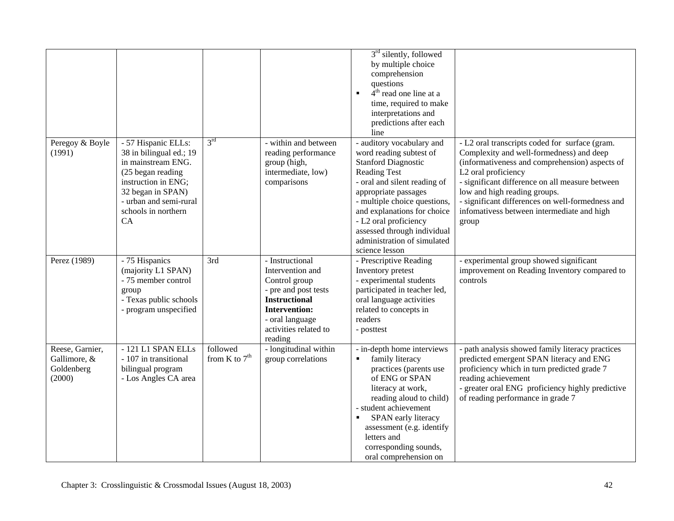|                                                         |                                                                                                                                                                                              |                             |                                                                                                                                                                                     | $3rd$ silently, followed<br>by multiple choice<br>comprehension<br>questions<br>$4th$ read one line at a<br>٠<br>time, required to make<br>interpretations and<br>predictions after each<br>line                                                                                                                                          |                                                                                                                                                                                                                                                                                                                                                                   |
|---------------------------------------------------------|----------------------------------------------------------------------------------------------------------------------------------------------------------------------------------------------|-----------------------------|-------------------------------------------------------------------------------------------------------------------------------------------------------------------------------------|-------------------------------------------------------------------------------------------------------------------------------------------------------------------------------------------------------------------------------------------------------------------------------------------------------------------------------------------|-------------------------------------------------------------------------------------------------------------------------------------------------------------------------------------------------------------------------------------------------------------------------------------------------------------------------------------------------------------------|
| Peregoy & Boyle<br>(1991)                               | - 57 Hispanic ELLs:<br>38 in bilingual ed.; 19<br>in mainstream ENG.<br>(25 began reading<br>instruction in ENG;<br>32 began in SPAN)<br>- urban and semi-rural<br>schools in northern<br>CA | 3 <sup>rd</sup>             | - within and between<br>reading performance<br>group (high,<br>intermediate, low)<br>comparisons                                                                                    | - auditory vocabulary and<br>word reading subtest of<br><b>Stanford Diagnostic</b><br><b>Reading Test</b><br>- oral and silent reading of<br>appropriate passages<br>- multiple choice questions,<br>and explanations for choice<br>- L2 oral proficiency<br>assessed through individual<br>administration of simulated<br>science lesson | - L2 oral transcripts coded for surface (gram.<br>Complexity and well-formedness) and deep<br>(informativeness and comprehension) aspects of<br>L2 oral proficiency<br>- significant difference on all measure between<br>low and high reading groups.<br>- significant differences on well-formedness and<br>infomativess between intermediate and high<br>group |
| Perez (1989)                                            | - 75 Hispanics<br>(majority L1 SPAN)<br>- 75 member control<br>group<br>- Texas public schools<br>- program unspecified                                                                      | 3rd                         | - Instructional<br>Intervention and<br>Control group<br>- pre and post tests<br><b>Instructional</b><br><b>Intervention:</b><br>- oral language<br>activities related to<br>reading | - Prescriptive Reading<br>Inventory pretest<br>- experimental students<br>participated in teacher led,<br>oral language activities<br>related to concepts in<br>readers<br>- posttest                                                                                                                                                     | - experimental group showed significant<br>improvement on Reading Inventory compared to<br>controls                                                                                                                                                                                                                                                               |
| Reese, Garnier,<br>Gallimore, &<br>Goldenberg<br>(2000) | -121 L1 SPAN ELLs<br>- 107 in transitional<br>bilingual program<br>- Los Angles CA area                                                                                                      | followed<br>from K to $7th$ | - longitudinal within<br>group correlations                                                                                                                                         | - in-depth home interviews<br>family literacy<br>٠<br>practices (parents use<br>of ENG or SPAN<br>literacy at work,<br>reading aloud to child)<br>- student achievement<br>SPAN early literacy<br>٠<br>assessment (e.g. identify<br>letters and<br>corresponding sounds,<br>oral comprehension on                                         | - path analysis showed family literacy practices<br>predicted emergent SPAN literacy and ENG<br>proficiency which in turn predicted grade 7<br>reading achievement<br>- greater oral ENG proficiency highly predictive<br>of reading performance in grade 7                                                                                                       |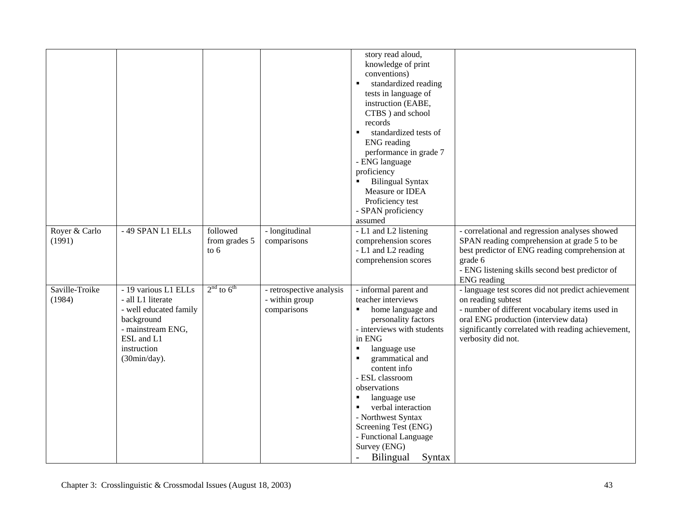|                          |                                                                                                                                                     |                                   |                                                           | story read aloud,<br>knowledge of print<br>conventions)<br>standardized reading<br>$\blacksquare$<br>tests in language of<br>instruction (EABE,<br>CTBS ) and school<br>records<br>standardized tests of<br>$\blacksquare$<br><b>ENG</b> reading<br>performance in grade 7<br>- ENG language<br>proficiency<br><b>Bilingual Syntax</b><br>Measure or IDEA<br>Proficiency test<br>- SPAN proficiency                                                                        |                                                                                                                                                                                                                                                |
|--------------------------|-----------------------------------------------------------------------------------------------------------------------------------------------------|-----------------------------------|-----------------------------------------------------------|----------------------------------------------------------------------------------------------------------------------------------------------------------------------------------------------------------------------------------------------------------------------------------------------------------------------------------------------------------------------------------------------------------------------------------------------------------------------------|------------------------------------------------------------------------------------------------------------------------------------------------------------------------------------------------------------------------------------------------|
| Royer & Carlo<br>(1991)  | -49 SPAN L1 ELLs                                                                                                                                    | followed<br>from grades 5<br>to 6 | - longitudinal<br>comparisons                             | assumed<br>- L1 and L2 listening<br>comprehension scores<br>- L1 and L2 reading<br>comprehension scores                                                                                                                                                                                                                                                                                                                                                                    | - correlational and regression analyses showed<br>SPAN reading comprehension at grade 5 to be<br>best predictor of ENG reading comprehension at<br>grade 6<br>- ENG listening skills second best predictor of<br><b>ENG</b> reading            |
| Saville-Troike<br>(1984) | - 19 various L1 ELLs<br>- all L1 literate<br>- well educated family<br>background<br>- mainstream ENG,<br>ESL and L1<br>instruction<br>(30min/day). | $2nd$ to $6th$                    | - retrospective analysis<br>- within group<br>comparisons | - informal parent and<br>teacher interviews<br>home language and<br>$\blacksquare$<br>personality factors<br>- interviews with students<br>in ENG<br>language use<br>$\blacksquare$<br>grammatical and<br>$\blacksquare$<br>content info<br>- ESL classroom<br>observations<br>language use<br>$\blacksquare$<br>$\blacksquare$<br>verbal interaction<br>- Northwest Syntax<br>Screening Test (ENG)<br>- Functional Language<br>Survey (ENG)<br><b>Bilingual</b><br>Syntax | - language test scores did not predict achievement<br>on reading subtest<br>- number of different vocabulary items used in<br>oral ENG production (interview data)<br>significantly correlated with reading achievement,<br>verbosity did not. |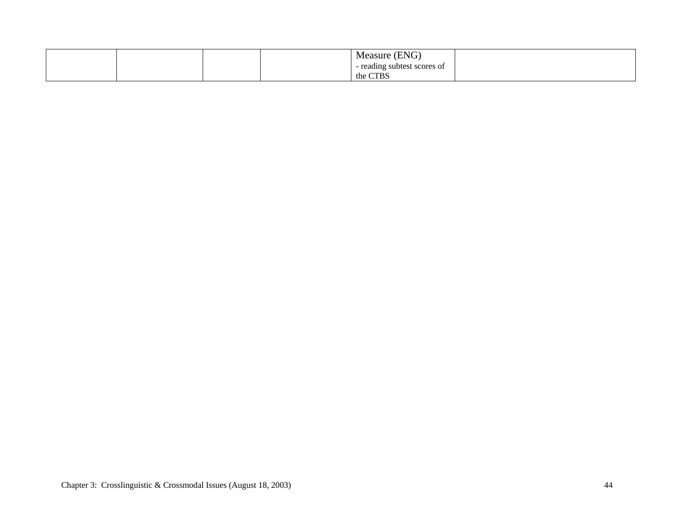|  |  | (ENG)<br>Measure '          |  |
|--|--|-----------------------------|--|
|  |  | - reading subtest scores of |  |
|  |  | the CTBS                    |  |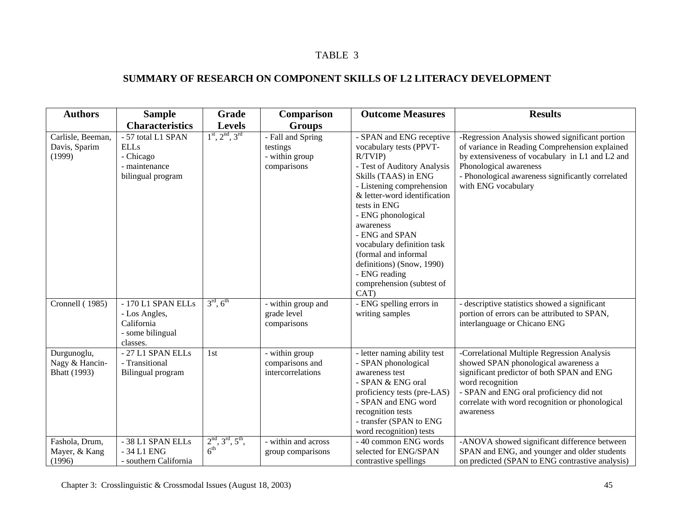# **SUMMARY OF RESEARCH ON COMPONENT SKILLS OF L2 LITERACY DEVELOPMENT**

| <b>Authors</b>                                       | <b>Sample</b>                                                                        | Grade                                         | Comparison                                                     | <b>Outcome Measures</b>                                                                                                                                                                                                                                                                                                                                                                         | <b>Results</b>                                                                                                                                                                                                                                                   |
|------------------------------------------------------|--------------------------------------------------------------------------------------|-----------------------------------------------|----------------------------------------------------------------|-------------------------------------------------------------------------------------------------------------------------------------------------------------------------------------------------------------------------------------------------------------------------------------------------------------------------------------------------------------------------------------------------|------------------------------------------------------------------------------------------------------------------------------------------------------------------------------------------------------------------------------------------------------------------|
|                                                      | <b>Characteristics</b>                                                               | <b>Levels</b>                                 | <b>Groups</b>                                                  |                                                                                                                                                                                                                                                                                                                                                                                                 |                                                                                                                                                                                                                                                                  |
| Carlisle, Beeman,<br>Davis, Sparim<br>(1999)         | - 57 total L1 SPAN<br><b>ELLs</b><br>- Chicago<br>- maintenance<br>bilingual program | $1^{\text{st}}, 2^{\text{nd}}, 3^{\text{rd}}$ | - Fall and Spring<br>testings<br>- within group<br>comparisons | - SPAN and ENG receptive<br>vocabulary tests (PPVT-<br>R/TVIP<br>- Test of Auditory Analysis<br>Skills (TAAS) in ENG<br>- Listening comprehension<br>& letter-word identification<br>tests in ENG<br>- ENG phonological<br>awareness<br>- ENG and SPAN<br>vocabulary definition task<br>(formal and informal<br>definitions) (Snow, 1990)<br>- ENG reading<br>comprehension (subtest of<br>CAT) | -Regression Analysis showed significant portion<br>of variance in Reading Comprehension explained<br>by extensiveness of vocabulary in L1 and L2 and<br>Phonological awareness<br>- Phonological awareness significantly correlated<br>with ENG vocabulary       |
| Cronnell (1985)                                      | - 170 L1 SPAN ELLs<br>- Los Angles,<br>California<br>- some bilingual<br>classes.    | $3^{\text{rd}}, 6^{\text{th}}$                | - within group and<br>grade level<br>comparisons               | - ENG spelling errors in<br>writing samples                                                                                                                                                                                                                                                                                                                                                     | - descriptive statistics showed a significant<br>portion of errors can be attributed to SPAN,<br>interlanguage or Chicano ENG                                                                                                                                    |
| Durgunoglu,<br>Nagy & Hancin-<br><b>Bhatt</b> (1993) | - 27 L1 SPAN ELLs<br>- Transitional<br>Bilingual program                             | 1st                                           | - within group<br>comparisons and<br>intercorrelations         | - letter naming ability test<br>- SPAN phonological<br>awareness test<br>- SPAN & ENG oral<br>proficiency tests (pre-LAS)<br>- SPAN and ENG word<br>recognition tests<br>- transfer (SPAN to ENG<br>word recognition) tests                                                                                                                                                                     | -Correlational Multiple Regression Analysis<br>showed SPAN phonological awareness a<br>significant predictor of both SPAN and ENG<br>word recognition<br>- SPAN and ENG oral proficiency did not<br>correlate with word recognition or phonological<br>awareness |
| Fashola, Drum,<br>Mayer, & Kang<br>(1996)            | - 38 L1 SPAN ELLs<br>- 34 L1 ENG<br>- southern California                            | $2nd, 3rd, 5th,$<br>6 <sup>th</sup>           | - within and across<br>group comparisons                       | - 40 common ENG words<br>selected for ENG/SPAN<br>contrastive spellings                                                                                                                                                                                                                                                                                                                         | -ANOVA showed significant difference between<br>SPAN and ENG, and younger and older students<br>on predicted (SPAN to ENG contrastive analysis)                                                                                                                  |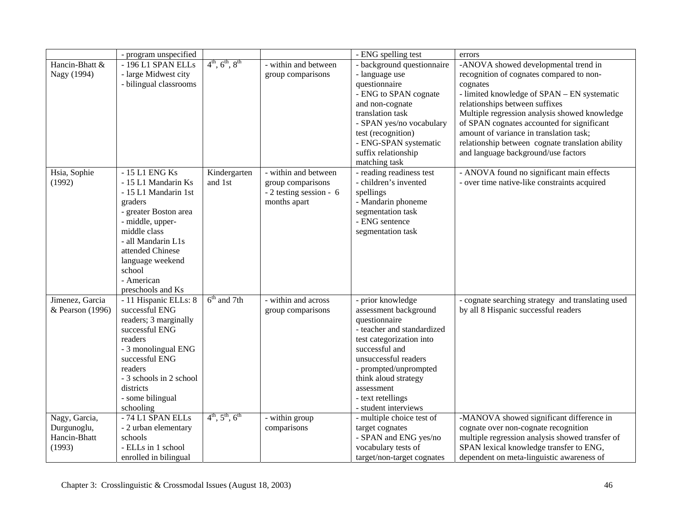|                  | - program unspecified      |                                |                           | - ENG spelling test        | errors                                            |
|------------------|----------------------------|--------------------------------|---------------------------|----------------------------|---------------------------------------------------|
| Hancin-Bhatt &   | -196 L1 SPAN ELLs          | $4^{th}$ , $6^{th}$ , $8^{th}$ | - within and between      | - background questionnaire | -ANOVA showed developmental trend in              |
| Nagy (1994)      | - large Midwest city       |                                | group comparisons         | - language use             | recognition of cognates compared to non-          |
|                  | - bilingual classrooms     |                                |                           | questionnaire              | cognates                                          |
|                  |                            |                                |                           | - ENG to SPAN cognate      | - limited knowledge of SPAN - EN systematic       |
|                  |                            |                                |                           | and non-cognate            | relationships between suffixes                    |
|                  |                            |                                |                           | translation task           | Multiple regression analysis showed knowledge     |
|                  |                            |                                |                           | - SPAN yes/no vocabulary   | of SPAN cognates accounted for significant        |
|                  |                            |                                |                           | test (recognition)         | amount of variance in translation task;           |
|                  |                            |                                |                           | - ENG-SPAN systematic      | relationship between cognate translation ability  |
|                  |                            |                                |                           | suffix relationship        | and language background/use factors               |
|                  |                            |                                |                           | matching task              |                                                   |
| Hsia, Sophie     | - 15 L1 ENG Ks             | Kindergarten                   | - within and between      | - reading readiness test   | - ANOVA found no significant main effects         |
| (1992)           | - 15 L1 Mandarin Ks        | and 1st                        | group comparisons         | - children's invented      | - over time native-like constraints acquired      |
|                  | - 15 L1 Mandarin 1st       |                                | $-2$ testing session $-6$ | spellings                  |                                                   |
|                  | graders                    |                                | months apart              | - Mandarin phoneme         |                                                   |
|                  | - greater Boston area      |                                |                           | segmentation task          |                                                   |
|                  | - middle, upper-           |                                |                           | - ENG sentence             |                                                   |
|                  | middle class               |                                |                           | segmentation task          |                                                   |
|                  | - all Mandarin L1s         |                                |                           |                            |                                                   |
|                  | attended Chinese           |                                |                           |                            |                                                   |
|                  | language weekend<br>school |                                |                           |                            |                                                   |
|                  | - American                 |                                |                           |                            |                                                   |
|                  | preschools and Ks          |                                |                           |                            |                                                   |
| Jimenez, Garcia  | - 11 Hispanic ELLs: 8      | $6th$ and 7th                  | - within and across       | - prior knowledge          | - cognate searching strategy and translating used |
| & Pearson (1996) | successful ENG             |                                | group comparisons         | assessment background      | by all 8 Hispanic successful readers              |
|                  | readers; 3 marginally      |                                |                           | questionnaire              |                                                   |
|                  | successful ENG             |                                |                           | - teacher and standardized |                                                   |
|                  | readers                    |                                |                           | test categorization into   |                                                   |
|                  | - 3 monolingual ENG        |                                |                           | successful and             |                                                   |
|                  | successful ENG             |                                |                           | unsuccessful readers       |                                                   |
|                  | readers                    |                                |                           | - prompted/unprompted      |                                                   |
|                  | - 3 schools in 2 school    |                                |                           | think aloud strategy       |                                                   |
|                  | districts                  |                                |                           | assessment                 |                                                   |
|                  | - some bilingual           |                                |                           | - text retellings          |                                                   |
|                  | schooling                  |                                |                           | - student interviews       |                                                   |
| Nagy, Garcia,    | - 74 L1 SPAN ELLs          | $4^{th}$ , $5^{th}$ , $6^{th}$ | - within group            | - multiple choice test of  | -MANOVA showed significant difference in          |
| Durgunoglu,      | - 2 urban elementary       |                                | comparisons               | target cognates            | cognate over non-cognate recognition              |
| Hancin-Bhatt     | schools                    |                                |                           | - SPAN and ENG yes/no      | multiple regression analysis showed transfer of   |
| (1993)           | - ELLs in 1 school         |                                |                           | vocabulary tests of        | SPAN lexical knowledge transfer to ENG,           |
|                  | enrolled in bilingual      |                                |                           | target/non-target cognates | dependent on meta-linguistic awareness of         |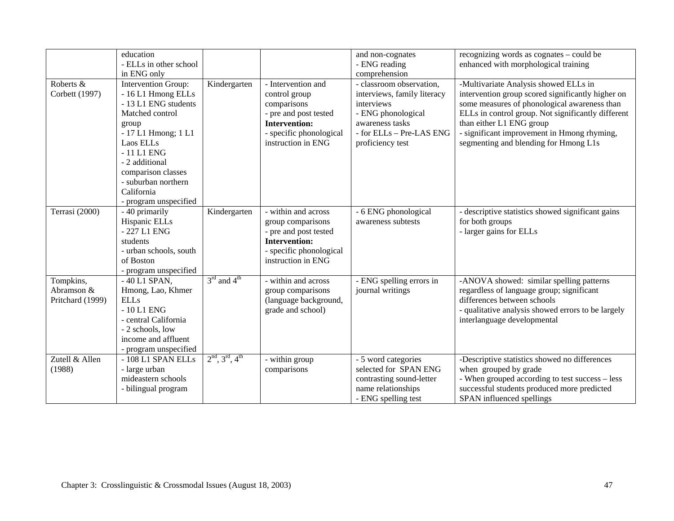|                                             | education<br>- ELLs in other school<br>in ENG only                                                                                                                                                                                                      |                                     |                                                                                                                                                      | and non-cognates<br>- ENG reading<br>comprehension                                                                                                             | recognizing words as cognates – could be<br>enhanced with morphological training                                                                                                                                                                                                                                     |
|---------------------------------------------|---------------------------------------------------------------------------------------------------------------------------------------------------------------------------------------------------------------------------------------------------------|-------------------------------------|------------------------------------------------------------------------------------------------------------------------------------------------------|----------------------------------------------------------------------------------------------------------------------------------------------------------------|----------------------------------------------------------------------------------------------------------------------------------------------------------------------------------------------------------------------------------------------------------------------------------------------------------------------|
| Roberts &<br>Corbett (1997)                 | Intervention Group:<br>- 16 L1 Hmong ELLs<br>- 13 L1 ENG students<br>Matched control<br>group<br>- 17 L1 Hmong; 1 L1<br>Laos ELLs<br>$-11$ L1 ENG<br>- 2 additional<br>comparison classes<br>- suburban northern<br>California<br>- program unspecified | Kindergarten                        | - Intervention and<br>control group<br>comparisons<br>- pre and post tested<br><b>Intervention:</b><br>- specific phonological<br>instruction in ENG | - classroom observation,<br>interviews, family literacy<br>interviews<br>- ENG phonological<br>awareness tasks<br>- for ELLs - Pre-LAS ENG<br>proficiency test | -Multivariate Analysis showed ELLs in<br>intervention group scored significantly higher on<br>some measures of phonological awareness than<br>ELLs in control group. Not significantly different<br>than either L1 ENG group<br>- significant improvement in Hmong rhyming,<br>segmenting and blending for Hmong L1s |
| Terrasi (2000)                              | - 40 primarily<br>Hispanic ELLs<br>- 227 L1 ENG<br>students<br>- urban schools, south<br>of Boston<br>- program unspecified                                                                                                                             | Kindergarten                        | - within and across<br>group comparisons<br>- pre and post tested<br><b>Intervention:</b><br>- specific phonological<br>instruction in ENG           | - 6 ENG phonological<br>awareness subtests                                                                                                                     | - descriptive statistics showed significant gains<br>for both groups<br>- larger gains for ELLs                                                                                                                                                                                                                      |
| Tompkins,<br>Abramson &<br>Pritchard (1999) | $-40$ L1 SPAN.<br>Hmong, Lao, Khmer<br><b>ELLs</b><br>$-10L1$ ENG<br>- central California<br>- 2 schools, low<br>income and affluent<br>- program unspecified                                                                                           | $3^{\text{rd}}$ and $4^{\text{th}}$ | - within and across<br>group comparisons<br>(language background,<br>grade and school)                                                               | - ENG spelling errors in<br>journal writings                                                                                                                   | -ANOVA showed: similar spelling patterns<br>regardless of language group; significant<br>differences between schools<br>- qualitative analysis showed errors to be largely<br>interlanguage developmental                                                                                                            |
| Zutell & Allen<br>(1988)                    | - 108 L1 SPAN ELLs<br>- large urban<br>mideastern schools<br>- bilingual program                                                                                                                                                                        | $2nd, 3rd, 4th$                     | - within group<br>comparisons                                                                                                                        | - 5 word categories<br>selected for SPAN ENG<br>contrasting sound-letter<br>name relationships<br>- ENG spelling test                                          | -Descriptive statistics showed no differences<br>when grouped by grade<br>- When grouped according to test success - less<br>successful students produced more predicted<br>SPAN influenced spellings                                                                                                                |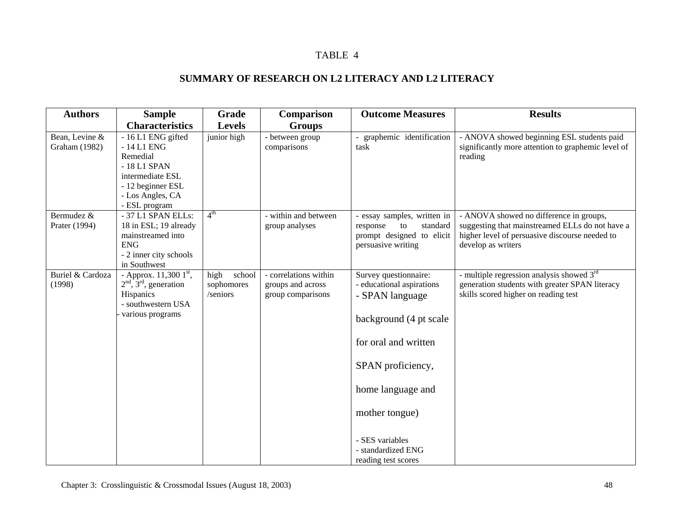# **SUMMARY OF RESEARCH ON L2 LITERACY AND L2 LITERACY**

| <b>Authors</b>                  | <b>Sample</b><br><b>Characteristics</b>                                                                                                     | Grade<br><b>Levels</b>                   | Comparison<br><b>Groups</b>                                     | <b>Outcome Measures</b>                                                                                                                                                                                                                             | <b>Results</b>                                                                                                                                                     |
|---------------------------------|---------------------------------------------------------------------------------------------------------------------------------------------|------------------------------------------|-----------------------------------------------------------------|-----------------------------------------------------------------------------------------------------------------------------------------------------------------------------------------------------------------------------------------------------|--------------------------------------------------------------------------------------------------------------------------------------------------------------------|
| Bean, Levine &<br>Graham (1982) | - 16 L1 ENG gifted<br>$-14$ L1 ENG<br>Remedial<br>-18 L1 SPAN<br>intermediate ESL<br>- 12 beginner ESL<br>- Los Angles, CA<br>- ESL program | junior high                              | - between group<br>comparisons                                  | graphemic identification<br>task                                                                                                                                                                                                                    | - ANOVA showed beginning ESL students paid<br>significantly more attention to graphemic level of<br>reading                                                        |
| Bermudez &<br>Prater (1994)     | - 37 L1 SPAN ELLs:<br>18 in ESL; 19 already<br>mainstreamed into<br>${\rm ENG}$<br>- 2 inner city schools<br>in Southwest                   | 4 <sup>th</sup>                          | - within and between<br>group analyses                          | - essay samples, written in<br>to<br>standard<br>response<br>prompt designed to elicit<br>persuasive writing                                                                                                                                        | - ANOVA showed no difference in groups,<br>suggesting that mainstreamed ELLs do not have a<br>higher level of persuasive discourse needed to<br>develop as writers |
| Buriel & Cardoza<br>(1998)      | - Approx. 11,300 1st,<br>$2nd$ , $3rd$ , generation<br>Hispanics<br>- southwestern USA<br>various programs                                  | high<br>school<br>sophomores<br>/seniors | - correlations within<br>groups and across<br>group comparisons | Survey questionnaire:<br>- educational aspirations<br>- SPAN language<br>background (4 pt scale<br>for oral and written<br>SPAN proficiency,<br>home language and<br>mother tongue)<br>- SES variables<br>- standardized ENG<br>reading test scores | - multiple regression analysis showed 3 <sup>rd</sup><br>generation students with greater SPAN literacy<br>skills scored higher on reading test                    |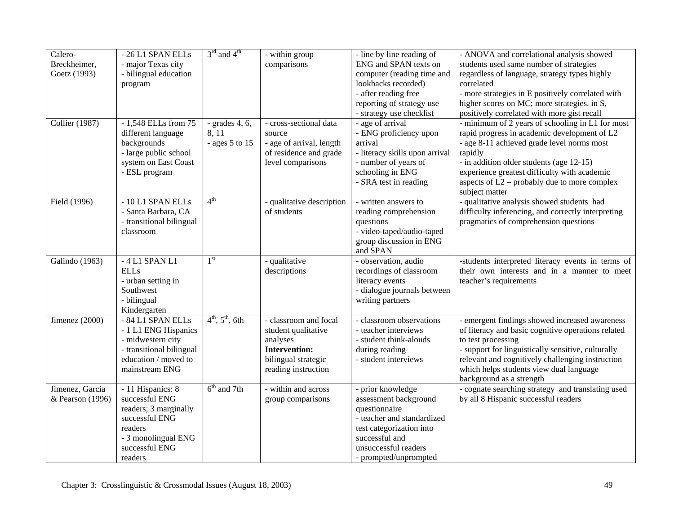| Calero-               | -26 L1 SPAN ELLs                | $3^{\text{rd}}$ and $4^{\text{th}}$ | - within group                | - line by line reading of                       | - ANOVA and correlational analysis showed                                                        |
|-----------------------|---------------------------------|-------------------------------------|-------------------------------|-------------------------------------------------|--------------------------------------------------------------------------------------------------|
| Breckheimer,          | - major Texas city              |                                     | comparisons                   | ENG and SPAN texts on                           | students used same number of strategies                                                          |
| Goetz (1993)          | - bilingual education           |                                     |                               | computer (reading time and                      | regardless of language, strategy types highly                                                    |
|                       | program                         |                                     |                               | lookbacks recorded)                             | correlated                                                                                       |
|                       |                                 |                                     |                               | - after reading free                            | - more strategies in E positively correlated with                                                |
|                       |                                 |                                     |                               | reporting of strategy use                       | higher scores on MC; more strategies. in S,                                                      |
|                       |                                 |                                     |                               | - strategy use checklist                        | positively correlated with more gist recall                                                      |
| <b>Collier</b> (1987) | $-1,548$ ELLs from 75           | - grades $4, 6$ ,                   | - cross-sectional data        | - age of arrival                                | - minimum of 2 years of schooling in L1 for most                                                 |
|                       | different language              | 8.11                                | source                        | - ENG proficiency upon                          | rapid progress in academic development of L2                                                     |
|                       | backgrounds                     | - ages $5$ to $15$                  | - age of arrival, length      | arrival                                         | - age 8-11 achieved grade level norms most                                                       |
|                       | - large public school           |                                     | of residence and grade        | - literacy skills upon arrival                  | rapidly                                                                                          |
|                       | system on East Coast            |                                     | level comparisons             | - number of years of                            | - in addition older students (age 12-15)                                                         |
|                       | - ESL program                   |                                     |                               | schooling in ENG                                | experience greatest difficulty with academic                                                     |
|                       |                                 |                                     |                               | - SRA test in reading                           | aspects of $L2$ – probably due to more complex                                                   |
|                       |                                 |                                     |                               |                                                 | subject matter                                                                                   |
| Field (1996)          | - 10 L1 SPAN ELLs               | 4 <sup>th</sup>                     | - qualitative description     | - written answers to                            | - qualitative analysis showed students had                                                       |
|                       | - Santa Barbara, CA             |                                     | of students                   | reading comprehension                           | difficulty inferencing, and correctly interpreting                                               |
|                       | - transitional bilingual        |                                     |                               | questions                                       | pragmatics of comprehension questions                                                            |
|                       | classroom                       |                                     |                               | - video-taped/audio-taped                       |                                                                                                  |
|                       |                                 |                                     |                               | group discussion in ENG<br>and SPAN             |                                                                                                  |
|                       | $-4$ L1 SPAN L1                 | 1 <sup>st</sup>                     |                               |                                                 |                                                                                                  |
| Galindo (1963)        | <b>ELLs</b>                     |                                     | - qualitative<br>descriptions | - observation, audio<br>recordings of classroom | -students interpreted literacy events in terms of<br>their own interests and in a manner to meet |
|                       |                                 |                                     |                               |                                                 |                                                                                                  |
|                       | - urban setting in<br>Southwest |                                     |                               | literacy events<br>- dialogue journals between  | teacher's requirements                                                                           |
|                       | - bilingual                     |                                     |                               | writing partners                                |                                                                                                  |
|                       | Kindergarten                    |                                     |                               |                                                 |                                                                                                  |
| Jimenez (2000)        | - 84 L1 SPAN ELLs               | $4^{th}$ , $5^{th}$ , 6th           | - classroom and focal         | - classroom observations                        | - emergent findings showed increased awareness                                                   |
|                       | - 1 L1 ENG Hispanics            |                                     | student qualitative           | - teacher interviews                            | of literacy and basic cognitive operations related                                               |
|                       | - midwestern city               |                                     | analyses                      | - student think-alouds                          | to test processing                                                                               |
|                       | - transitional bilingual        |                                     | <b>Intervention:</b>          | during reading                                  | - support for linguistically sensitive, culturally                                               |
|                       | education / moved to            |                                     | bilingual strategic           | - student interviews                            | relevant and cognitively challenging instruction                                                 |
|                       | mainstream ENG                  |                                     | reading instruction           |                                                 | which helps students view dual language                                                          |
|                       |                                 |                                     |                               |                                                 | background as a strength                                                                         |
| Jimenez, Garcia       | - 11 Hispanics: 8               | $6th$ and 7th                       | - within and across           | - prior knowledge                               | - cognate searching strategy and translating used                                                |
| & Pearson (1996)      | successful ENG                  |                                     | group comparisons             | assessment background                           | by all 8 Hispanic successful readers                                                             |
|                       | readers; 3 marginally           |                                     |                               | questionnaire                                   |                                                                                                  |
|                       | successful ENG                  |                                     |                               | - teacher and standardized                      |                                                                                                  |
|                       | readers                         |                                     |                               | test categorization into                        |                                                                                                  |
|                       | - 3 monolingual ENG             |                                     |                               | successful and                                  |                                                                                                  |
|                       | successful ENG                  |                                     |                               | unsuccessful readers                            |                                                                                                  |
|                       | readers                         |                                     |                               | - prompted/unprompted                           |                                                                                                  |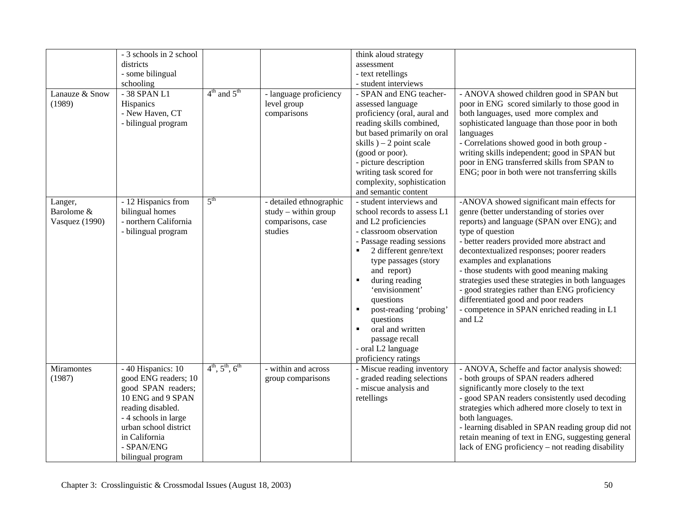| Lanauze & Snow<br>(1989)                | - 3 schools in 2 school<br>districts<br>- some bilingual<br>schooling<br>- 38 SPAN L1<br>Hispanics<br>- New Haven, CT<br>- bilingual program                                                                    | $4th$ and $5th$                | - language proficiency<br>level group<br>comparisons                              | think aloud strategy<br>assessment<br>- text retellings<br>- student interviews<br>- SPAN and ENG teacher-<br>assessed language<br>proficiency (oral, aural and<br>reading skills combined,<br>but based primarily on oral<br>skills $-2$ point scale<br>(good or poor).<br>- picture description<br>writing task scored for<br>complexity, sophistication<br>and semantic content                          | - ANOVA showed children good in SPAN but<br>poor in ENG scored similarly to those good in<br>both languages, used more complex and<br>sophisticated language than those poor in both<br>languages<br>- Correlations showed good in both group -<br>writing skills independent; good in SPAN but<br>poor in ENG transferred skills from SPAN to<br>ENG; poor in both were not transferring skills                                                                                                                                                       |
|-----------------------------------------|-----------------------------------------------------------------------------------------------------------------------------------------------------------------------------------------------------------------|--------------------------------|-----------------------------------------------------------------------------------|-------------------------------------------------------------------------------------------------------------------------------------------------------------------------------------------------------------------------------------------------------------------------------------------------------------------------------------------------------------------------------------------------------------|--------------------------------------------------------------------------------------------------------------------------------------------------------------------------------------------------------------------------------------------------------------------------------------------------------------------------------------------------------------------------------------------------------------------------------------------------------------------------------------------------------------------------------------------------------|
| Langer,<br>Barolome &<br>Vasquez (1990) | - 12 Hispanics from<br>bilingual homes<br>- northern California<br>- bilingual program                                                                                                                          | $5^{\text{th}}$                | - detailed ethnographic<br>$study - within group$<br>comparisons, case<br>studies | - student interviews and<br>school records to assess L1<br>and L2 proficiencies<br>- classroom observation<br>- Passage reading sessions<br>2 different genre/text<br>type passages (story<br>and report)<br>during reading<br>'envisionment'<br>questions<br>post-reading 'probing'<br>٠<br>questions<br>oral and written<br>$\blacksquare$<br>passage recall<br>- oral L2 language<br>proficiency ratings | -ANOVA showed significant main effects for<br>genre (better understanding of stories over<br>reports) and language (SPAN over ENG); and<br>type of question<br>- better readers provided more abstract and<br>decontextualized responses; poorer readers<br>examples and explanations<br>- those students with good meaning making<br>strategies used these strategies in both languages<br>- good strategies rather than ENG proficiency<br>differentiated good and poor readers<br>- competence in SPAN enriched reading in L1<br>and L <sub>2</sub> |
| Miramontes<br>(1987)                    | - 40 Hispanics: 10<br>good ENG readers; 10<br>good SPAN readers;<br>10 ENG and 9 SPAN<br>reading disabled.<br>- 4 schools in large<br>urban school district<br>in California<br>- SPAN/ENG<br>bilingual program | $4^{th}$ , $5^{th}$ , $6^{th}$ | - within and across<br>group comparisons                                          | - Miscue reading inventory<br>- graded reading selections<br>- miscue analysis and<br>retellings                                                                                                                                                                                                                                                                                                            | - ANOVA, Scheffe and factor analysis showed:<br>- both groups of SPAN readers adhered<br>significantly more closely to the text<br>- good SPAN readers consistently used decoding<br>strategies which adhered more closely to text in<br>both languages.<br>- learning disabled in SPAN reading group did not<br>retain meaning of text in ENG, suggesting general<br>lack of ENG proficiency – not reading disability                                                                                                                                 |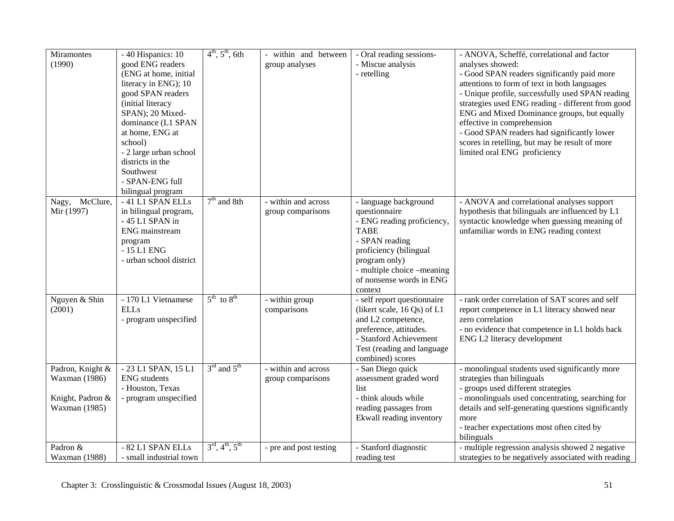| Miramontes              | - 40 Hispanics: 10      | $4^{th}$ , $5^{th}$ , 6th                     | - within and between   | - Oral reading sessions-               | - ANOVA, Scheffé, correlational and factor          |
|-------------------------|-------------------------|-----------------------------------------------|------------------------|----------------------------------------|-----------------------------------------------------|
| (1990)                  | good ENG readers        |                                               | group analyses         | - Miscue analysis                      | analyses showed:                                    |
|                         | (ENG at home, initial   |                                               |                        | - retelling                            | - Good SPAN readers significantly paid more         |
|                         | literacy in ENG); 10    |                                               |                        |                                        | attentions to form of text in both languages        |
|                         | good SPAN readers       |                                               |                        |                                        | - Unique profile, successfully used SPAN reading    |
|                         | (initial literacy       |                                               |                        |                                        | strategies used ENG reading - different from good   |
|                         | SPAN); 20 Mixed-        |                                               |                        |                                        | ENG and Mixed Dominance groups, but equally         |
|                         | dominance (L1 SPAN      |                                               |                        |                                        | effective in comprehension                          |
|                         | at home, ENG at         |                                               |                        |                                        | - Good SPAN readers had significantly lower         |
|                         | school)                 |                                               |                        |                                        | scores in retelling, but may be result of more      |
|                         | - 2 large urban school  |                                               |                        |                                        | limited oral ENG proficiency                        |
|                         | districts in the        |                                               |                        |                                        |                                                     |
|                         | Southwest               |                                               |                        |                                        |                                                     |
|                         | - SPAN-ENG full         |                                               |                        |                                        |                                                     |
|                         | bilingual program       |                                               |                        |                                        |                                                     |
| Nagy, McClure,          | -41 L1 SPAN ELLs        | $7th$ and 8th                                 | - within and across    | - language background                  | - ANOVA and correlational analyses support          |
| Mir (1997)              | in bilingual program,   |                                               | group comparisons      | questionnaire                          | hypothesis that bilinguals are influenced by L1     |
|                         | $-45$ L1 SPAN in        |                                               |                        | - ENG reading proficiency,             | syntactic knowledge when guessing meaning of        |
|                         | ENG mainstream          |                                               |                        | <b>TABE</b>                            | unfamiliar words in ENG reading context             |
|                         | program                 |                                               |                        | - SPAN reading                         |                                                     |
|                         | $-15$ L1 ENG            |                                               |                        | proficiency (bilingual                 |                                                     |
|                         | - urban school district |                                               |                        | program only)                          |                                                     |
|                         |                         |                                               |                        | - multiple choice -meaning             |                                                     |
|                         |                         |                                               |                        | of nonsense words in ENG               |                                                     |
|                         | - 170 L1 Vietnamese     | $5^{\text{th}}$ to $8^{\text{th}}$            | - within group         | context<br>- self report questionnaire | - rank order correlation of SAT scores and self     |
| Nguyen & Shin<br>(2001) | <b>ELLs</b>             |                                               | comparisons            | (likert scale, 16 Qs) of L1            | report competence in L1 literacy showed near        |
|                         | - program unspecified   |                                               |                        | and L2 competence,                     | zero correlation                                    |
|                         |                         |                                               |                        | preference, attitudes.                 | - no evidence that competence in L1 holds back      |
|                         |                         |                                               |                        | - Stanford Achievement                 | ENG L2 literacy development                         |
|                         |                         |                                               |                        | Test (reading and language             |                                                     |
|                         |                         |                                               |                        | combined) scores                       |                                                     |
| Padron, Knight &        | -23 L1 SPAN, 15 L1      | $3rd$ and $5th$                               | - within and across    | - San Diego quick                      | - monolingual students used significantly more      |
| Waxman (1986)           | <b>ENG</b> students     |                                               | group comparisons      | assessment graded word                 | strategies than bilinguals                          |
|                         | - Houston, Texas        |                                               |                        | list                                   | - groups used different strategies                  |
| Knight, Padron &        | - program unspecified   |                                               |                        | - think alouds while                   | - monolinguals used concentrating, searching for    |
| Waxman (1985)           |                         |                                               |                        | reading passages from                  | details and self-generating questions significantly |
|                         |                         |                                               |                        | Ekwall reading inventory               | more                                                |
|                         |                         |                                               |                        |                                        | - teacher expectations most often cited by          |
|                         |                         |                                               |                        |                                        | bilinguals                                          |
| Padron &                | - 82 L1 SPAN ELLs       | $3^{\text{rd}}, 4^{\text{th}}, 5^{\text{th}}$ | - pre and post testing | - Stanford diagnostic                  | - multiple regression analysis showed 2 negative    |
| Waxman (1988)           | - small industrial town |                                               |                        | reading test                           | strategies to be negatively associated with reading |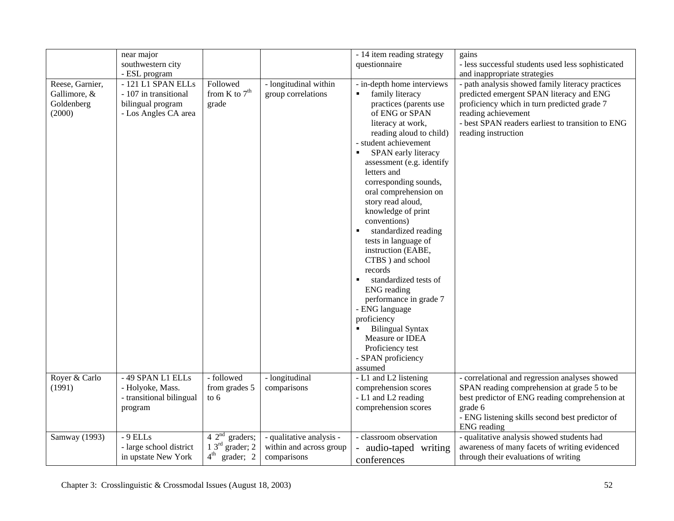|                                                         | near major                                                                               |                                      |                                             | - 14 item reading strategy                                                                                                                                                                                                                                                                                                                                                                                                                                                                                                                                                                                                                                                                                | gains                                                                                                                                                                                                                                          |
|---------------------------------------------------------|------------------------------------------------------------------------------------------|--------------------------------------|---------------------------------------------|-----------------------------------------------------------------------------------------------------------------------------------------------------------------------------------------------------------------------------------------------------------------------------------------------------------------------------------------------------------------------------------------------------------------------------------------------------------------------------------------------------------------------------------------------------------------------------------------------------------------------------------------------------------------------------------------------------------|------------------------------------------------------------------------------------------------------------------------------------------------------------------------------------------------------------------------------------------------|
|                                                         | southwestern city                                                                        |                                      |                                             | questionnaire                                                                                                                                                                                                                                                                                                                                                                                                                                                                                                                                                                                                                                                                                             | - less successful students used less sophisticated                                                                                                                                                                                             |
|                                                         | - ESL program                                                                            |                                      |                                             |                                                                                                                                                                                                                                                                                                                                                                                                                                                                                                                                                                                                                                                                                                           | and inappropriate strategies                                                                                                                                                                                                                   |
| Reese, Garnier,<br>Gallimore, &<br>Goldenberg<br>(2000) | - 121 L1 SPAN ELLs<br>- 107 in transitional<br>bilingual program<br>- Los Angles CA area | Followed<br>from K to $7th$<br>grade | - longitudinal within<br>group correlations | - in-depth home interviews<br>family literacy<br>$\blacksquare$<br>practices (parents use<br>of ENG or SPAN<br>literacy at work,<br>reading aloud to child)<br>- student achievement<br>SPAN early literacy<br>$\blacksquare$<br>assessment (e.g. identify<br>letters and<br>corresponding sounds,<br>oral comprehension on<br>story read aloud,<br>knowledge of print<br>conventions)<br>standardized reading<br>tests in language of<br>instruction (EABE,<br>CTBS ) and school<br>records<br>standardized tests of<br><b>ENG</b> reading<br>performance in grade 7<br>- ENG language<br>proficiency<br><b>Bilingual Syntax</b><br>Measure or IDEA<br>Proficiency test<br>- SPAN proficiency<br>assumed | - path analysis showed family literacy practices<br>predicted emergent SPAN literacy and ENG<br>proficiency which in turn predicted grade 7<br>reading achievement<br>- best SPAN readers earliest to transition to ENG<br>reading instruction |
| Royer & Carlo                                           | - 49 SPAN L1 ELLs                                                                        | - followed                           | - longitudinal                              | - L1 and L2 listening                                                                                                                                                                                                                                                                                                                                                                                                                                                                                                                                                                                                                                                                                     | - correlational and regression analyses showed                                                                                                                                                                                                 |
| (1991)                                                  | - Holyoke, Mass.                                                                         | from grades 5                        | comparisons                                 | comprehension scores                                                                                                                                                                                                                                                                                                                                                                                                                                                                                                                                                                                                                                                                                      | SPAN reading comprehension at grade 5 to be                                                                                                                                                                                                    |
|                                                         | - transitional bilingual                                                                 | to $6 \theta$                        |                                             | - L1 and L2 reading                                                                                                                                                                                                                                                                                                                                                                                                                                                                                                                                                                                                                                                                                       | best predictor of ENG reading comprehension at                                                                                                                                                                                                 |
|                                                         | program                                                                                  |                                      |                                             | comprehension scores                                                                                                                                                                                                                                                                                                                                                                                                                                                                                                                                                                                                                                                                                      | grade 6                                                                                                                                                                                                                                        |
|                                                         |                                                                                          |                                      |                                             |                                                                                                                                                                                                                                                                                                                                                                                                                                                                                                                                                                                                                                                                                                           | - ENG listening skills second best predictor of<br><b>ENG</b> reading                                                                                                                                                                          |
| Samway (1993)                                           | $-9$ ELLs                                                                                | $\overline{4\ 2^{nd}}$ graders;      | - qualitative analysis -                    | - classroom observation                                                                                                                                                                                                                                                                                                                                                                                                                                                                                                                                                                                                                                                                                   | - qualitative analysis showed students had                                                                                                                                                                                                     |
|                                                         | - large school district                                                                  | $1 \, 3^{\text{rd}}$ grader; $2$     | within and across group                     | audio-taped writing                                                                                                                                                                                                                                                                                                                                                                                                                                                                                                                                                                                                                                                                                       | awareness of many facets of writing evidenced                                                                                                                                                                                                  |
|                                                         | in upstate New York                                                                      | $4^{\text{th}}$<br>grader; 2         | comparisons                                 | conferences                                                                                                                                                                                                                                                                                                                                                                                                                                                                                                                                                                                                                                                                                               | through their evaluations of writing                                                                                                                                                                                                           |